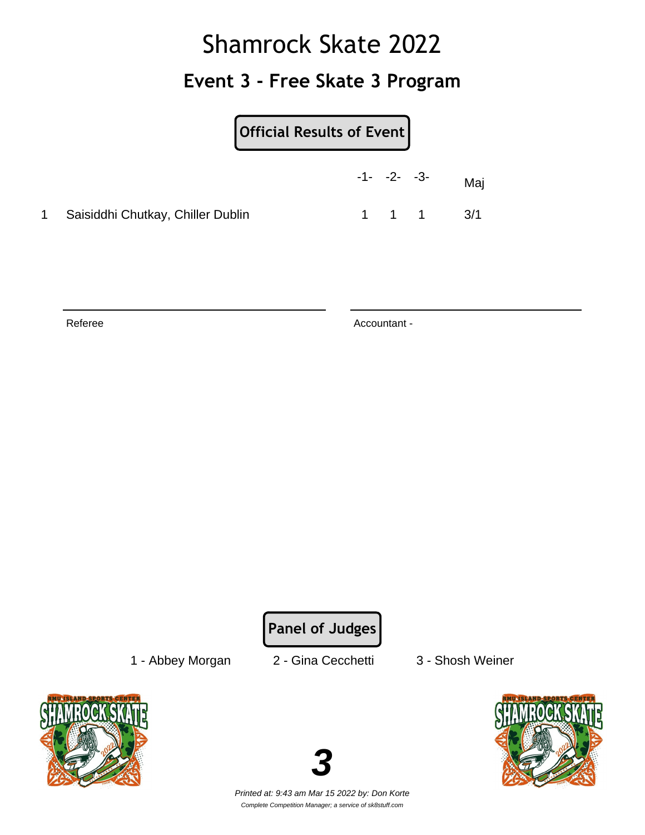## Shamrock Skate 2022 **Event 3 - Free Skate 3 Program**

|                                     | $-1 - -2 - -3$ |       | Maj |
|-------------------------------------|----------------|-------|-----|
| 1 Saisiddhi Chutkay, Chiller Dublin |                | 1 1 1 | 3/1 |

Referee Accountant -

**Panel of Judges**

1 - Abbey Morgan 2 - Gina Cecchetti 3 - Shosh Weiner





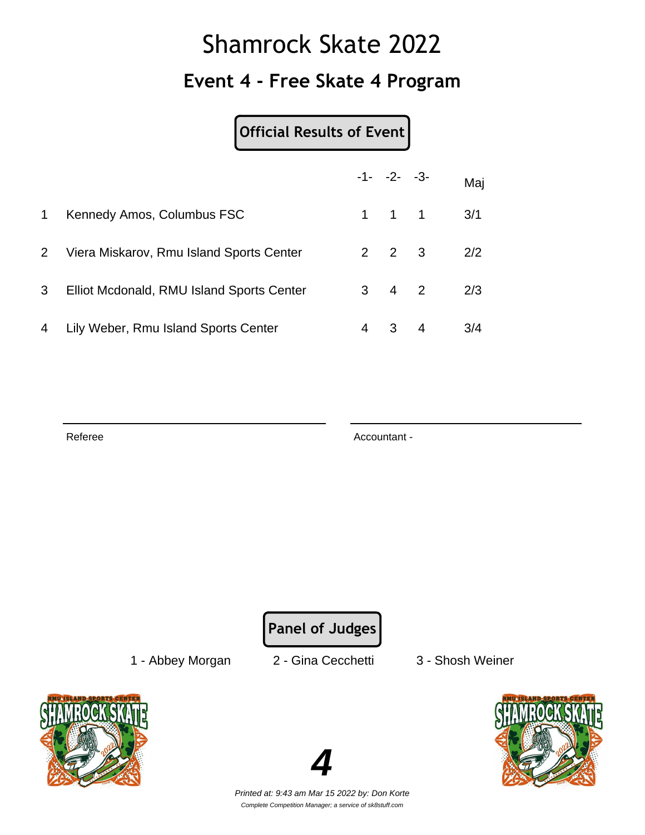## Shamrock Skate 2022 **Event 4 - Free Skate 4 Program**

**Official Results of Event**

|                |                                           |   | $-1 - -2 - -3$      |   | Maj |
|----------------|-------------------------------------------|---|---------------------|---|-----|
| $\mathbf 1$    | Kennedy Amos, Columbus FSC                |   | $1 \quad 1 \quad 1$ |   | 3/1 |
| $\overline{2}$ | Viera Miskarov, Rmu Island Sports Center  |   | $2 \quad 2 \quad 3$ |   | 2/2 |
| 3 <sup>1</sup> | Elliot Mcdonald, RMU Island Sports Center |   | $3 \quad 4 \quad 2$ |   | 2/3 |
| 4              | Lily Weber, Rmu Island Sports Center      | 4 | 3                   | 4 | 3/4 |

Referee Accountant - Accountant - Accountant -

**Panel of Judges**

1 - Abbey Morgan 2 - Gina Cecchetti 3 - Shosh Weiner





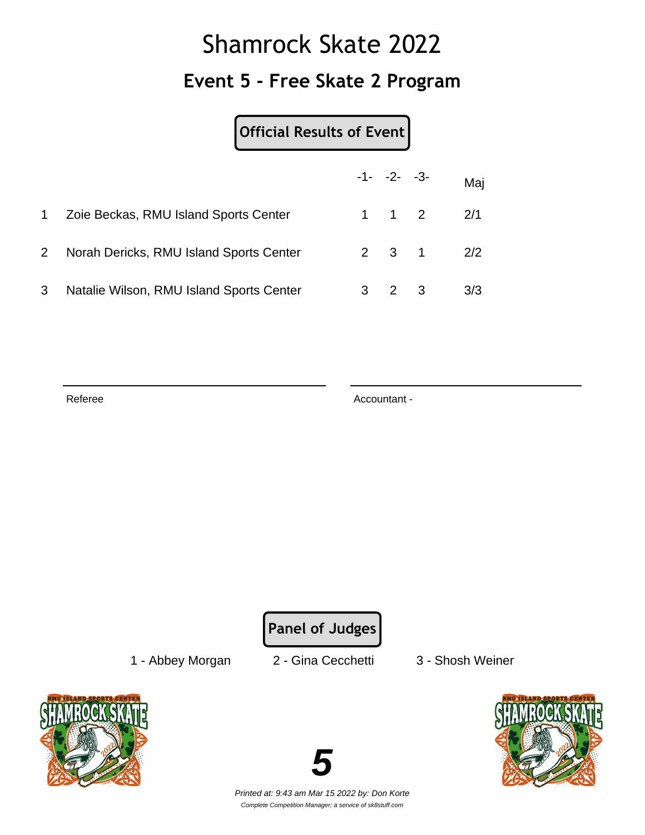## Shamrock Skate 2022 **Event 5 - Free Skate 2 Program**

| Official Results of Event |
|---------------------------|
|---------------------------|

|                |                                          | $-1 - -2 - -3$      |                   | Maj |
|----------------|------------------------------------------|---------------------|-------------------|-----|
| $\mathbf{1}$   | Zoie Beckas, RMU Island Sports Center    | $1 \quad 1 \quad 2$ |                   | 2/1 |
| 2 <sup>1</sup> | Norah Dericks, RMU Island Sports Center  |                     | $2 \t3 \t1 \t2/2$ |     |
| 3              | Natalie Wilson, RMU Island Sports Center | 2 3                 |                   | 3/3 |

Referee Accountant -

**Panel of Judges**

1 - Abbey Morgan 2 - Gina Cecchetti 3 - Shosh Weiner





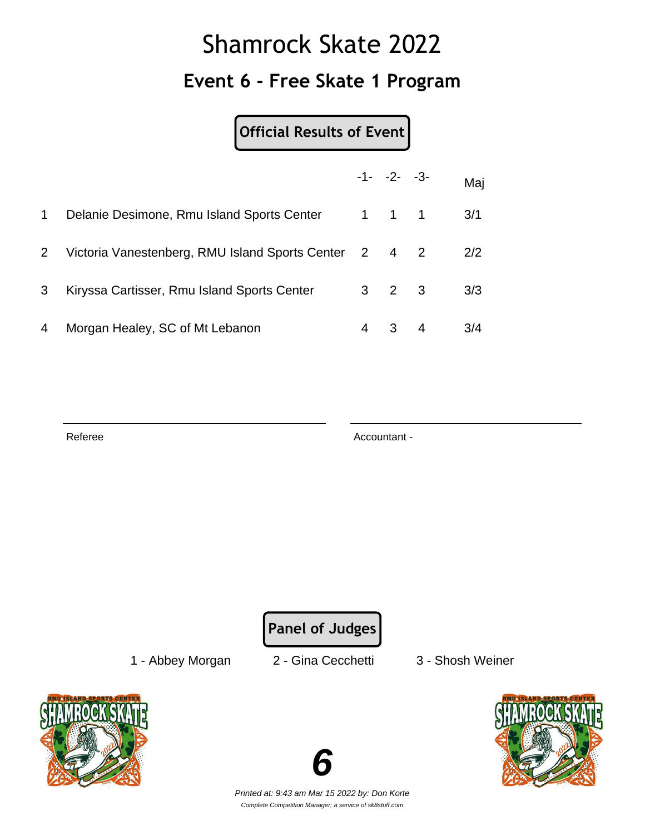## Shamrock Skate 2022 **Event 6 - Free Skate 1 Program**

**Official Results of Event**

|                |                                                       |       | $-1 - -2 - -3$      |    | Maj |
|----------------|-------------------------------------------------------|-------|---------------------|----|-----|
| 1              | Delanie Desimone, Rmu Island Sports Center            | 1 1 1 |                     |    | 3/1 |
| 2 <sup>1</sup> | Victoria Vanestenberg, RMU Island Sports Center 2 4 2 |       |                     |    | 2/2 |
| 3              | Kiryssa Cartisser, Rmu Island Sports Center           |       | $3 \quad 2 \quad 3$ |    | 3/3 |
| 4              | Morgan Healey, SC of Mt Lebanon                       | 4     | 3 <sup>1</sup>      | -4 | 3/4 |

Referee Accountant - Accountant - Accountant -

**Panel of Judges**

1 - Abbey Morgan 2 - Gina Cecchetti 3 - Shosh Weiner





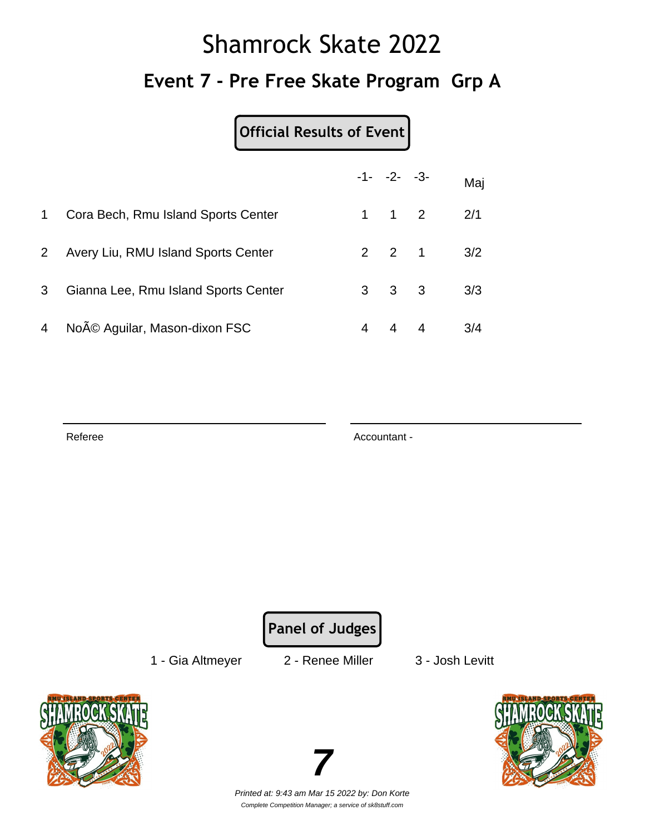# Shamrock Skate 2022 **Event 7 - Pre Free Skate Program Grp A**

#### **Official Results of Event**

|                |                                      |   | $-1 - -2 - -3$      | Maj |
|----------------|--------------------------------------|---|---------------------|-----|
| 1              | Cora Bech, Rmu Island Sports Center  |   | $1 \quad 1 \quad 2$ | 2/1 |
| $\overline{2}$ | Avery Liu, RMU Island Sports Center  |   | $2 \quad 2 \quad 1$ | 3/2 |
| 3 <sup>1</sup> | Gianna Lee, Rmu Island Sports Center |   | $3 \quad 3 \quad 3$ | 3/3 |
| $\overline{4}$ | Noé Aguilar, Mason-dixon FSC         | 4 | 4 4                 | 3/4 |

Referee Accountant - Accountant - Accountant -

**Panel of Judges**

1 - Gia Altmeyer 2 - Renee Miller 3 - Josh Levitt







Printed at: 9:43 am Mar 15 2022 by: Don Korte Complete Competition Manager; a service of sk8stuff.com

**7**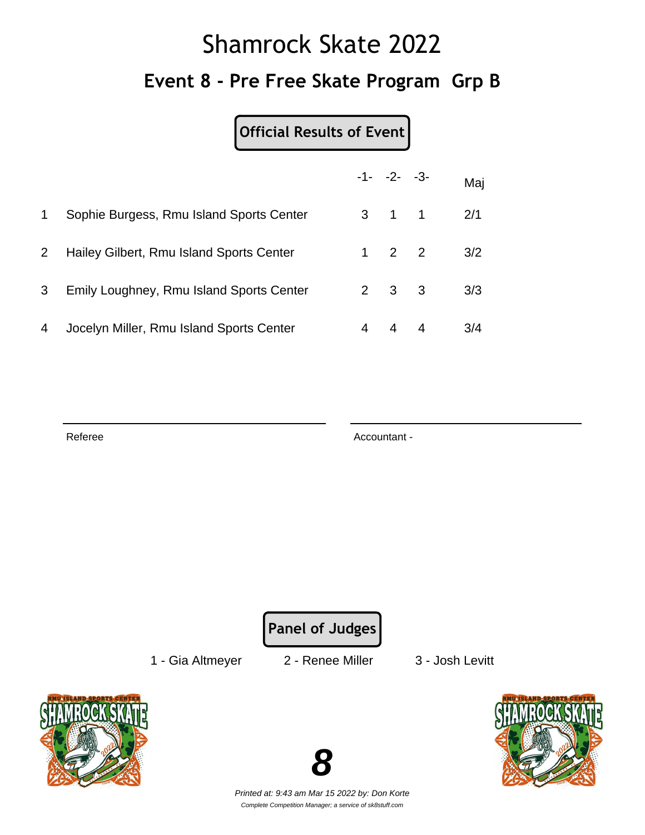# Shamrock Skate 2022 **Event 8 - Pre Free Skate Program Grp B**

**Official Results of Event**

|             |                                          |   | $-1 - -2 - -3$      | Maj |
|-------------|------------------------------------------|---|---------------------|-----|
| $\mathbf 1$ | Sophie Burgess, Rmu Island Sports Center |   | $3 \quad 1 \quad 1$ | 2/1 |
| $2^{\circ}$ | Hailey Gilbert, Rmu Island Sports Center |   | $1 \quad 2 \quad 2$ | 3/2 |
| 3           | Emily Loughney, Rmu Island Sports Center |   | $2 \quad 3 \quad 3$ | 3/3 |
| 4           | Jocelyn Miller, Rmu Island Sports Center | 4 | 44                  | 3/4 |

Referee Accountant - Accountant - Accountant -

**Panel of Judges**

1 - Gia Altmeyer 2 - Renee Miller 3 - Josh Levitt





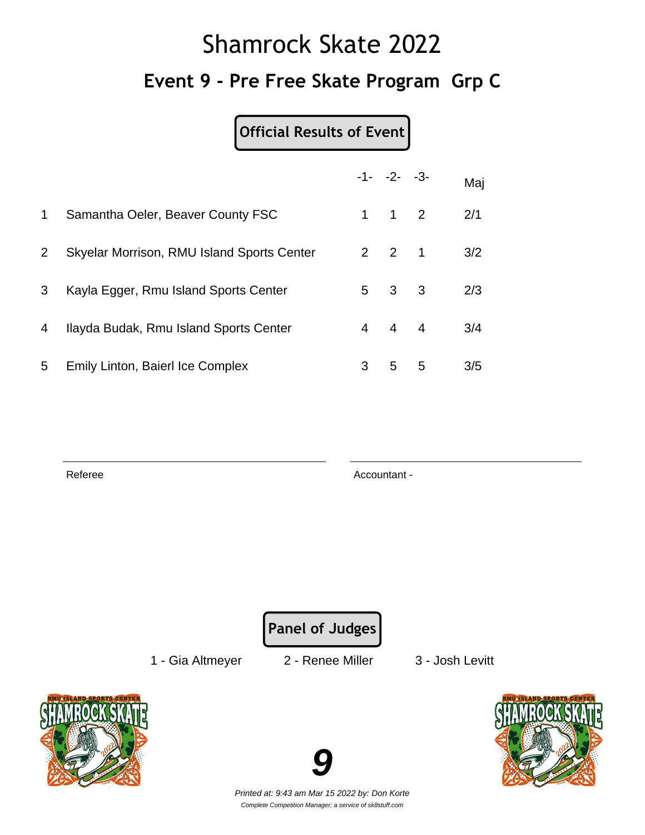# Shamrock Skate 2022 **Event 9 - Pre Free Skate Program Grp C**

**Official Results of Event**

|                       |                                            |   | $-1 - -2 - -3$      |   | Maj |
|-----------------------|--------------------------------------------|---|---------------------|---|-----|
| $\mathbf 1$           | Samantha Oeler, Beaver County FSC          |   | $1 \quad 1 \quad 2$ |   | 2/1 |
| $\mathbf{2}^{\prime}$ | Skyelar Morrison, RMU Island Sports Center |   | $2 \quad 2 \quad 1$ |   | 3/2 |
| 3                     | Kayla Egger, Rmu Island Sports Center      |   | $5 \quad 3 \quad 3$ |   | 2/3 |
| 4                     | Ilayda Budak, Rmu Island Sports Center     |   | $4 \quad 4 \quad 4$ |   | 3/4 |
| 5                     | Emily Linton, Baierl Ice Complex           | 3 | 5                   | 5 | 3/5 |

Referee Accountant -

**Panel of Judges**

1 - Gia Altmeyer 2 - Renee Miller 3 - Josh Levitt





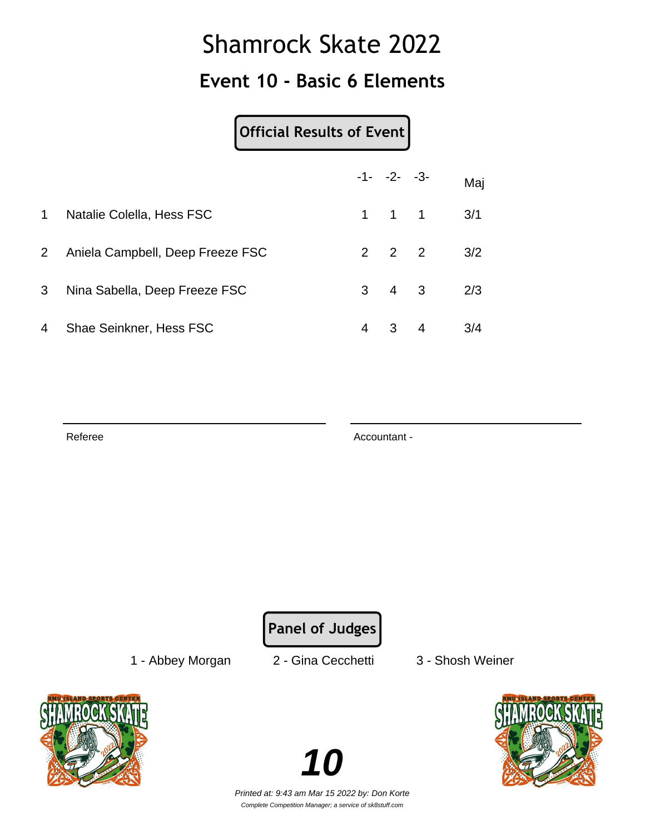### **Event 10 - Basic 6 Elements**

#### **Official Results of Event**

|                |                                  |   | $-1 - -2 - -3$      |                | Maj |
|----------------|----------------------------------|---|---------------------|----------------|-----|
| $\mathbf{1}$   | Natalie Colella, Hess FSC        |   | $1 \quad 1 \quad 1$ |                | 3/1 |
| $2^{\circ}$    | Aniela Campbell, Deep Freeze FSC |   | $2 \quad 2 \quad 2$ |                | 3/2 |
| 3 <sup>1</sup> | Nina Sabella, Deep Freeze FSC    |   | $3 \quad 4 \quad 3$ |                | 2/3 |
| 4              | Shae Seinkner, Hess FSC          | 4 | 3                   | $\overline{4}$ | 3/4 |

Referee Accountant - Accountant - Accountant -

**Panel of Judges**

1 - Abbey Morgan 2 - Gina Cecchetti 3 - Shosh Weiner



**10** Printed at: 9:43 am Mar 15 2022 by: Don Korte

Complete Competition Manager; a service of sk8stuff.com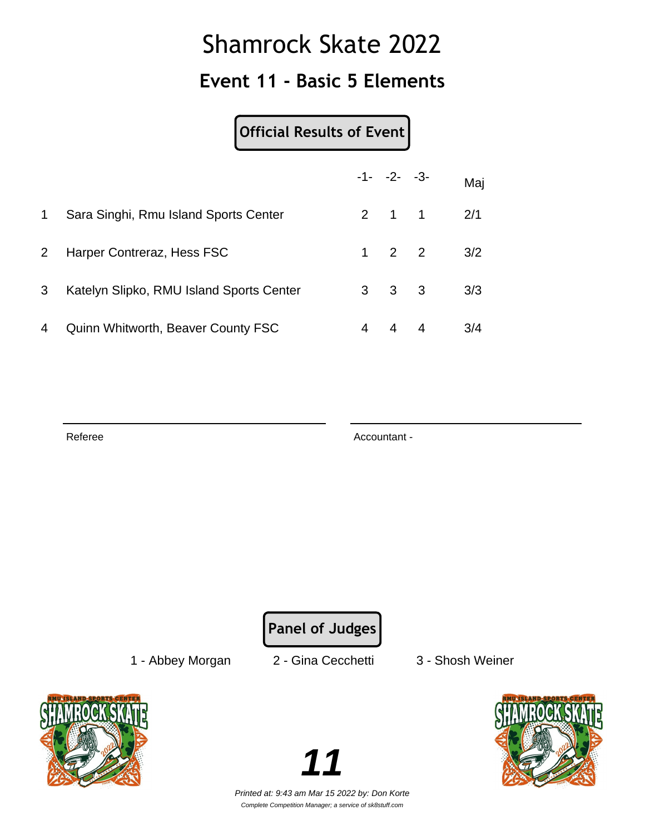### **Event 11 - Basic 5 Elements**

#### **Official Results of Event**

|                |                                           |   | $-1 - -2 - -3$      | Maj |
|----------------|-------------------------------------------|---|---------------------|-----|
| $\mathbf 1$    | Sara Singhi, Rmu Island Sports Center     |   | $2 \quad 1 \quad 1$ | 2/1 |
| 2 <sup>1</sup> | Harper Contreraz, Hess FSC                |   | $1 \quad 2 \quad 2$ | 3/2 |
| 3              | Katelyn Slipko, RMU Island Sports Center  |   | $3 \quad 3 \quad 3$ | 3/3 |
| 4              | <b>Quinn Whitworth, Beaver County FSC</b> | 4 | $4 \quad 4$         | 3/4 |

Referee Accountant - Accountant - Accountant -

**Panel of Judges**

1 - Abbey Morgan 2 - Gina Cecchetti 3 - Shosh Weiner



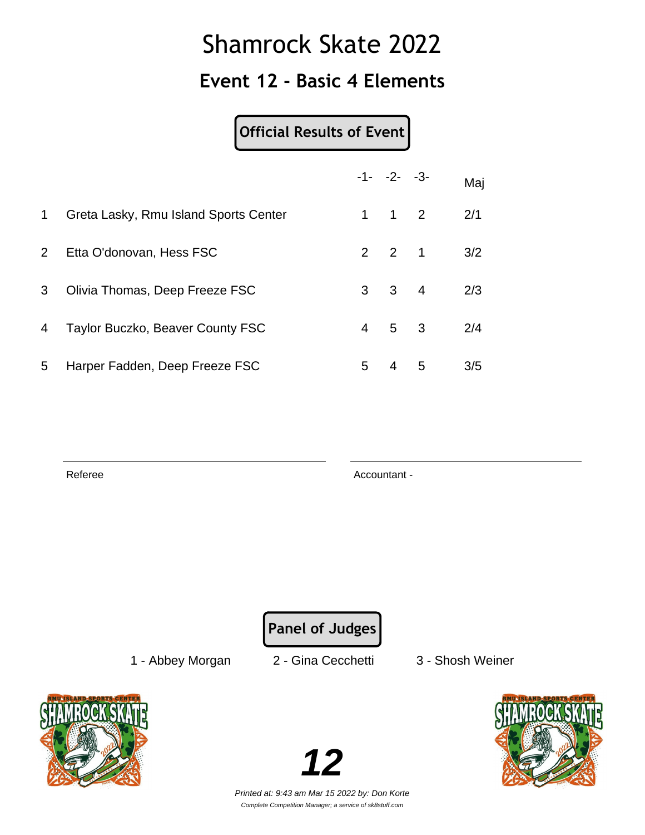### **Event 12 - Basic 4 Elements**

#### **Official Results of Event**

|                |                                       |   | $-1 - -2 - -3$      |   | Maj |
|----------------|---------------------------------------|---|---------------------|---|-----|
| 1              | Greta Lasky, Rmu Island Sports Center |   | $1 \quad 1 \quad 2$ |   | 2/1 |
| 2 <sup>7</sup> | Etta O'donovan, Hess FSC              |   | $2 \quad 2 \quad 1$ |   | 3/2 |
| 3 <sup>1</sup> | Olivia Thomas, Deep Freeze FSC        |   | $3 \quad 3 \quad 4$ |   | 2/3 |
| 4              | Taylor Buczko, Beaver County FSC      |   | $4\quad 5\quad 3$   |   | 2/4 |
| 5              | Harper Fadden, Deep Freeze FSC        | 5 | $\overline{4}$      | 5 | 3/5 |

Referee Accountant -

**Panel of Judges**

1 - Abbey Morgan 2 - Gina Cecchetti 3 - Shosh Weiner





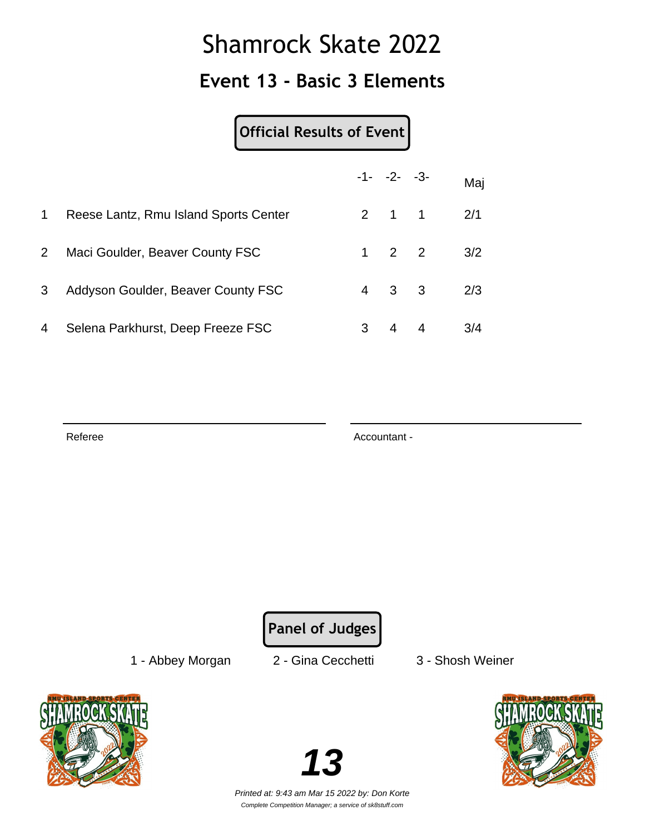### **Event 13 - Basic 3 Elements**

#### **Official Results of Event**

|                |                                       |   | $-1 - -2 - -3$      |                | Maj |
|----------------|---------------------------------------|---|---------------------|----------------|-----|
| $\mathbf 1$    | Reese Lantz, Rmu Island Sports Center |   | $2 \quad 1 \quad 1$ |                | 2/1 |
| 2 <sup>1</sup> | Maci Goulder, Beaver County FSC       |   | $1 \quad 2 \quad 2$ |                | 3/2 |
| 3              | Addyson Goulder, Beaver County FSC    |   | $4 \quad 3 \quad 3$ |                | 2/3 |
| 4              | Selena Parkhurst, Deep Freeze FSC     | 3 | 4                   | $\overline{4}$ | 3/4 |

Referee Accountant - Accountant - Accountant -

**Panel of Judges**

1 - Abbey Morgan 2 - Gina Cecchetti 3 - Shosh Weiner





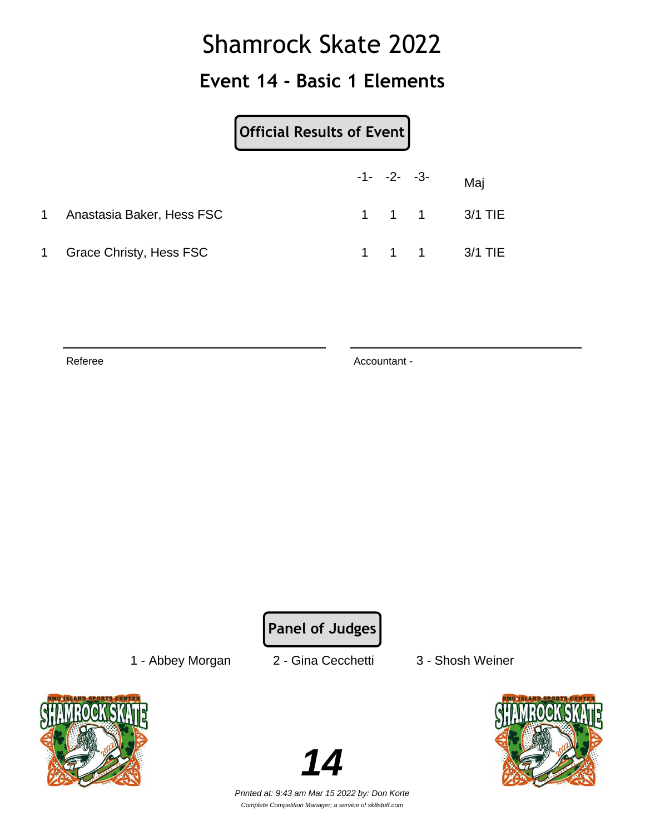### **Event 14 - Basic 1 Elements**

|       |                           | Official Results of Event |                |               |
|-------|---------------------------|---------------------------|----------------|---------------|
|       |                           |                           | $-1 - -2 - -3$ | Maj           |
| 1     | Anastasia Baker, Hess FSC |                           |                | 1 1 1 3/1 TIE |
| $1 -$ | Grace Christy, Hess FSC   |                           |                | 1 1 1 3/1 TIE |

Referee Accountant -

**Panel of Judges**

1 - Abbey Morgan 2 - Gina Cecchetti 3 - Shosh Weiner



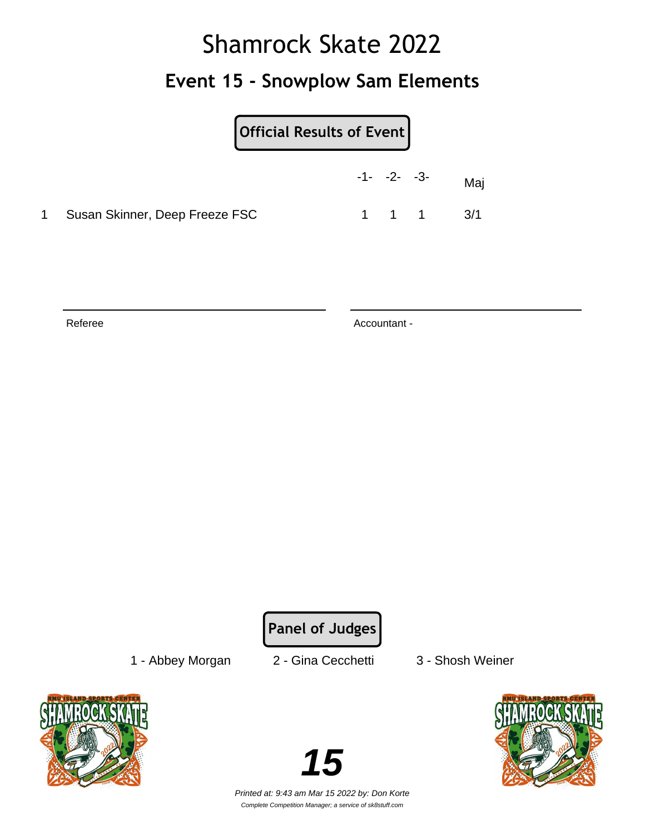### **Event 15 - Snowplow Sam Elements**

| Official Results of Event      |                |                               |
|--------------------------------|----------------|-------------------------------|
|                                | $-1 - -2 - -3$ | Maj                           |
| Susan Skinner, Deep Freeze FSC |                | $1 \quad 1 \quad 1 \quad 3/1$ |

Referee Accountant -

**Panel of Judges**

1 - Abbey Morgan 2 - Gina Cecchetti 3 - Shosh Weiner





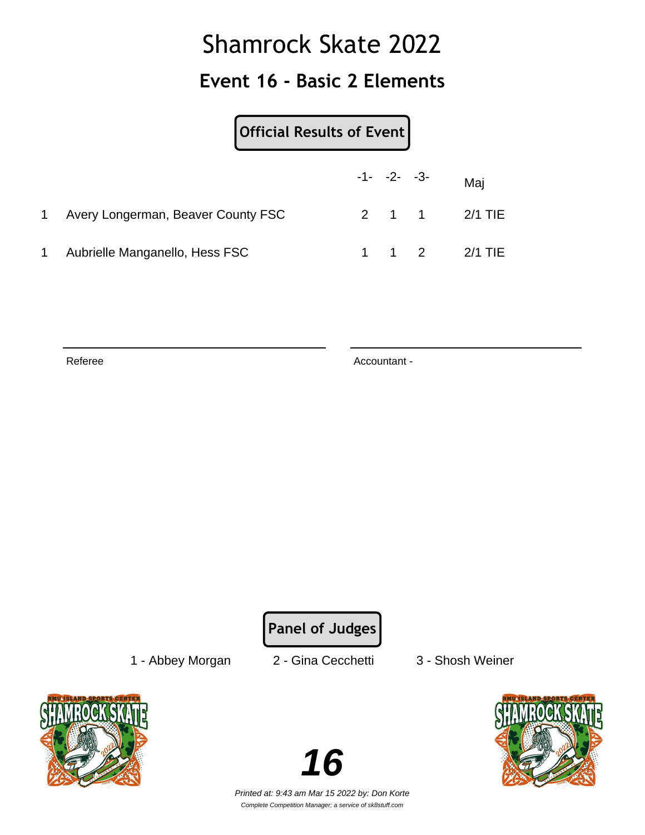### **Event 16 - Basic 2 Elements**

|    | Official Results of Event          |                |               |
|----|------------------------------------|----------------|---------------|
|    |                                    | $-1 - -2 - -3$ | Maj           |
| 1. | Avery Longerman, Beaver County FSC |                | 2 1 1 2/1 TIE |
| 1  | Aubrielle Manganello, Hess FSC     |                | 1 1 2 2/1 TIE |

Referee Accountant -

**Panel of Judges**

1 - Abbey Morgan 2 - Gina Cecchetti 3 - Shosh Weiner





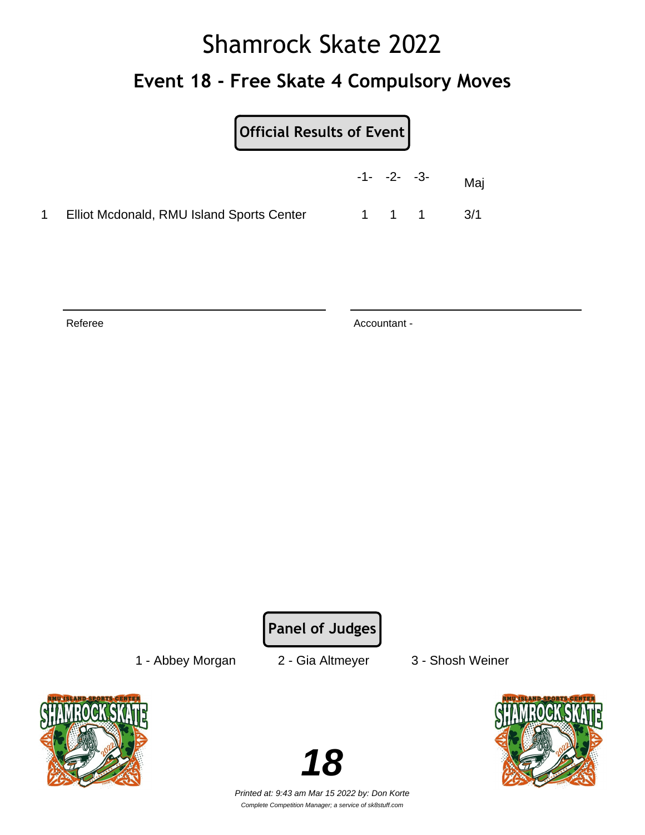# Shamrock Skate 2022 **Event 18 - Free Skate 4 Compulsory Moves**

| <b>Official Results of Event</b> |  |  |
|----------------------------------|--|--|
|                                  |  |  |

|                                           | $-1 - -2 - -3$ |       | Maj |
|-------------------------------------------|----------------|-------|-----|
| Elliot Mcdonald, RMU Island Sports Center |                | 1 1 1 | 3/1 |

Referee Accountant -

**Panel of Judges**

1 - Abbey Morgan 2 - Gia Altmeyer 3 - Shosh Weiner



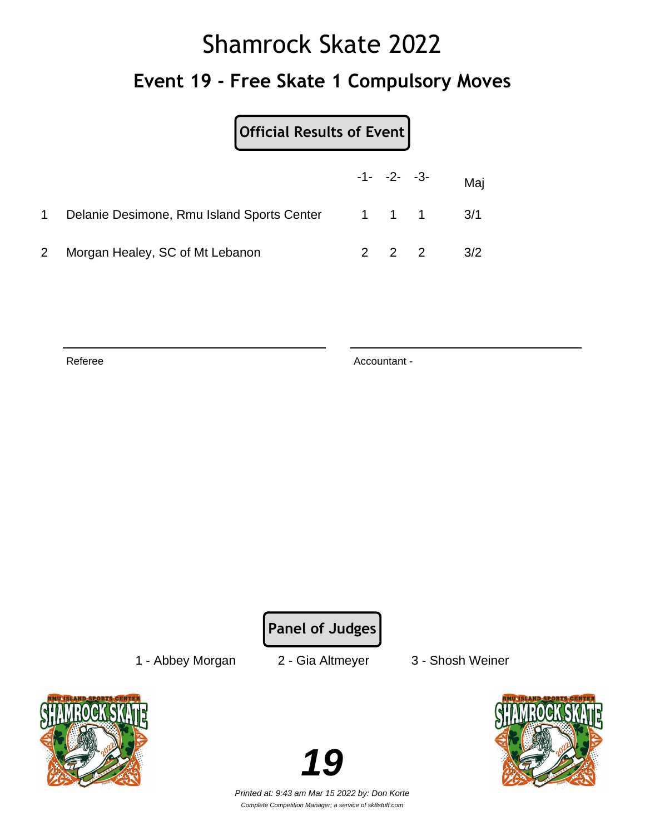# Shamrock Skate 2022 **Event 19 - Free Skate 1 Compulsory Moves**

| Official Results of Event                            |             |                  |     |
|------------------------------------------------------|-------------|------------------|-----|
|                                                      |             | $-1 - -2 - -3 -$ | Maj |
| Delanie Desimone, Rmu Island Sports Center 1 1 1 3/1 |             |                  |     |
| Morgan Healey, SC of Mt Lebanon                      | $2 \quad 2$ |                  | 3/2 |

Referee Accountant -

**Panel of Judges**

1 - Abbey Morgan 2 - Gia Altmeyer 3 - Shosh Weiner



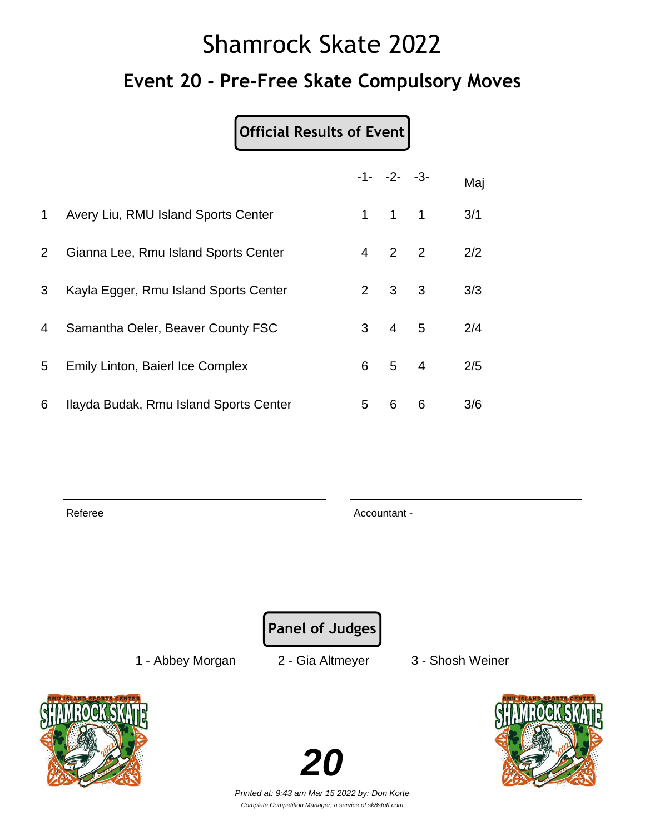## Shamrock Skate 2022 **Event 20 - Pre-Free Skate Compulsory Moves**

### **Official Results of Event**

|              |                                         |             | $-1 - -2 - -3$      |   | Maj |
|--------------|-----------------------------------------|-------------|---------------------|---|-----|
| $\mathbf{1}$ | Avery Liu, RMU Island Sports Center     | $\mathbf 1$ | $1 \quad 1$         |   | 3/1 |
| $2^{\circ}$  | Gianna Lee, Rmu Island Sports Center    |             | $4 \quad 2 \quad 2$ |   | 2/2 |
| 3            | Kayla Egger, Rmu Island Sports Center   |             | $2 \quad 3 \quad 3$ |   | 3/3 |
| 4            | Samantha Oeler, Beaver County FSC       |             | $3 \quad 4 \quad 5$ |   | 2/4 |
| 5            | <b>Emily Linton, Baierl Ice Complex</b> |             | 6 5 4               |   | 2/5 |
| 6            | Ilayda Budak, Rmu Island Sports Center  | 5           | 6                   | 6 | 3/6 |

Referee Accountant - Accountant - Accountant - Accountant -

**Panel of Judges**

1 - Abbey Morgan 2 - Gia Altmeyer 3 - Shosh Weiner



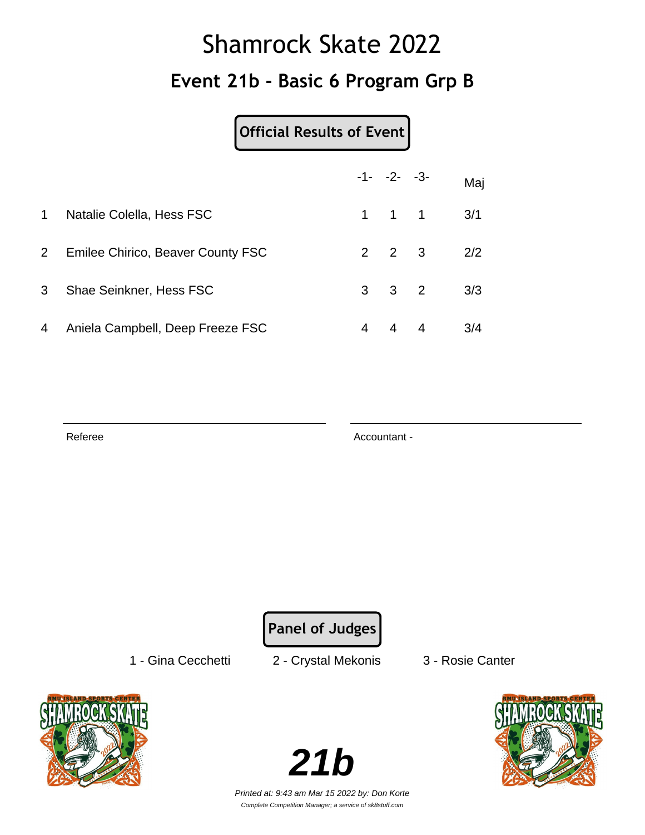## Shamrock Skate 2022 **Event 21b - Basic 6 Program Grp B**

#### **Official Results of Event**

|                |                                          |   | $-1 - -2 - -3$      |   | Maj |
|----------------|------------------------------------------|---|---------------------|---|-----|
| $\mathbf 1$    | Natalie Colella, Hess FSC                |   | $1 \quad 1 \quad 1$ |   | 3/1 |
| $2^{\circ}$    | <b>Emilee Chirico, Beaver County FSC</b> |   | $2 \quad 2 \quad 3$ |   | 2/2 |
| 3 <sup>1</sup> | Shae Seinkner, Hess FSC                  |   | $3 \quad 3 \quad 2$ |   | 3/3 |
| 4              | Aniela Campbell, Deep Freeze FSC         | 4 | $\overline{4}$      | 4 | 3/4 |

Referee Accountant - Accountant - Accountant -

**Panel of Judges**

1 - Gina Cecchetti 2 - Crystal Mekonis 3 - Rosie Canter



**21b**

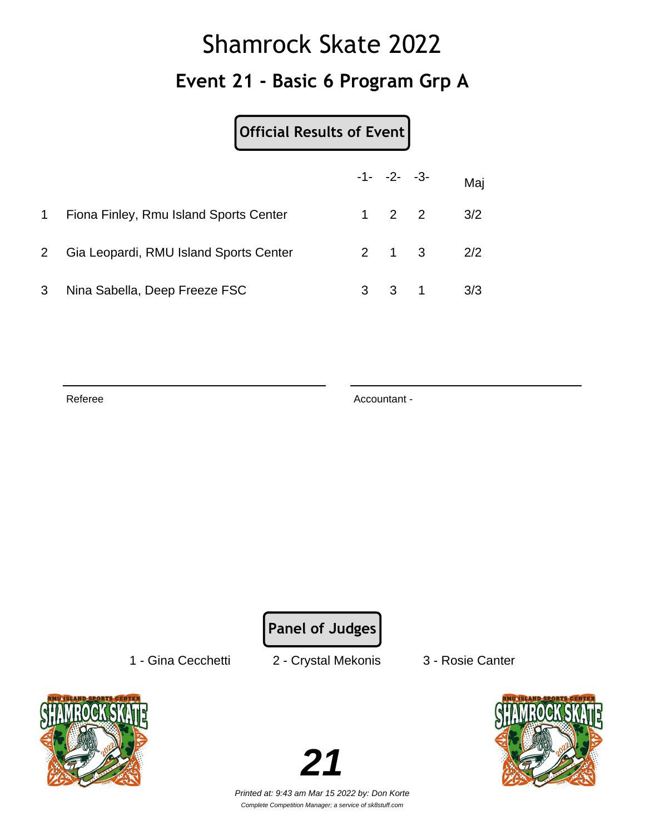## Shamrock Skate 2022 **Event 21 - Basic 6 Program Grp A**

| Official Results of Event |  |  |  |  |
|---------------------------|--|--|--|--|
|---------------------------|--|--|--|--|

|                |                                        |                     | $-1 - -2 - -3 -$     | Maj |
|----------------|----------------------------------------|---------------------|----------------------|-----|
|                | Fiona Finley, Rmu Island Sports Center | $1 \quad 2 \quad 2$ |                      | 3/2 |
| $\overline{2}$ | Gia Leopardi, RMU Island Sports Center |                     | $2 \t 1 \t 3 \t 2/2$ |     |
| 3              | Nina Sabella, Deep Freeze FSC          |                     | $3 \t3 \t1 \t3/3$    |     |

Referee Accountant -

**Panel of Judges**

1 - Gina Cecchetti 2 - Crystal Mekonis 3 - Rosie Canter





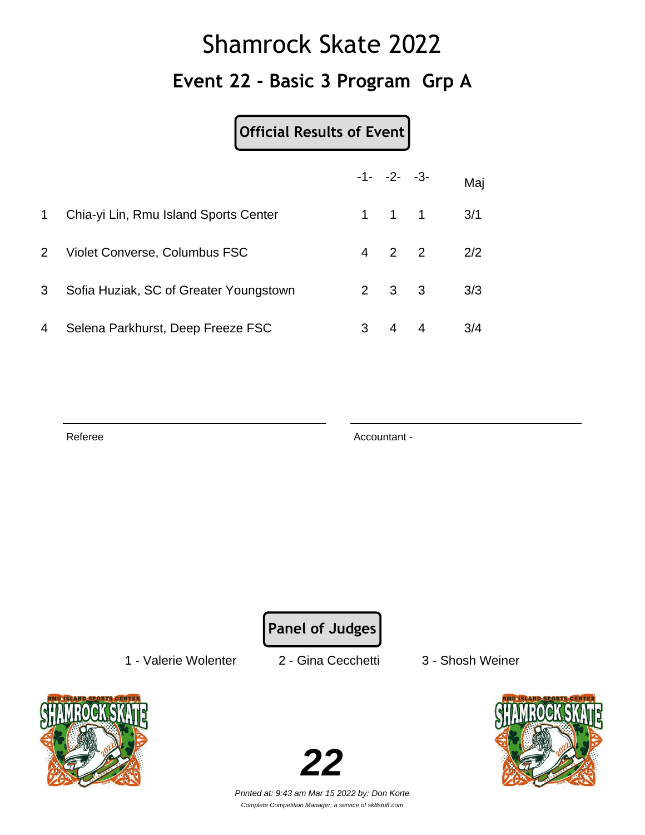## Shamrock Skate 2022 **Event 22 - Basic 3 Program Grp A**

### **Official Results of Event**

|                |                                        |   | $-1 - -2 - -3$      | Maj |
|----------------|----------------------------------------|---|---------------------|-----|
| 1.             | Chia-yi Lin, Rmu Island Sports Center  |   | $1 \quad 1 \quad 1$ | 3/1 |
| 2 <sup>1</sup> | Violet Converse, Columbus FSC          |   | $4\quad 2\quad 2$   | 2/2 |
| 3              | Sofia Huziak, SC of Greater Youngstown |   | $2 \quad 3 \quad 3$ | 3/3 |
| 4              | Selena Parkhurst, Deep Freeze FSC      | 3 | $4 \quad 4$         | 3/4 |

Referee Accountant - Accountant - Accountant -

**Panel of Judges**

1 - Valerie Wolenter 2 - Gina Cecchetti 3 - Shosh Weiner





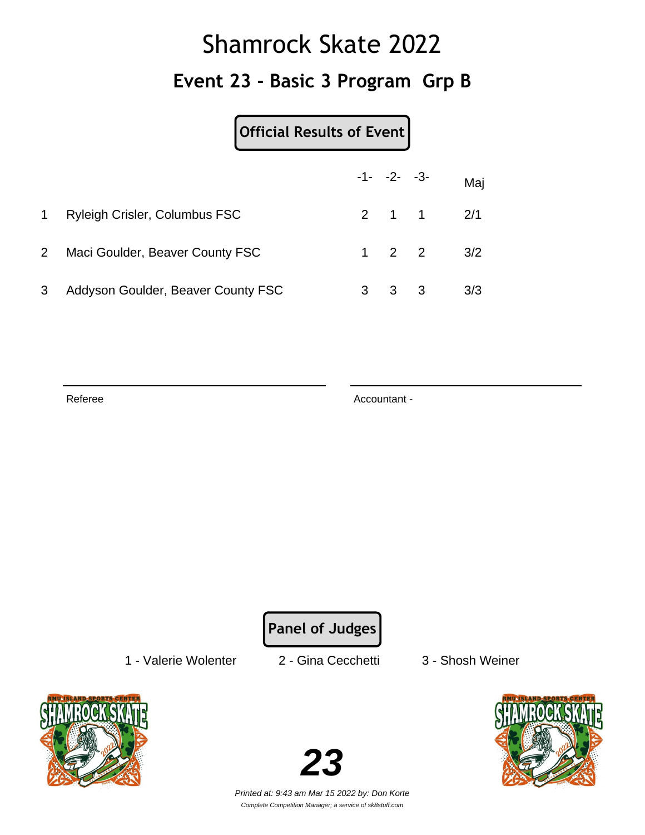## Shamrock Skate 2022 **Event 23 - Basic 3 Program Grp B**

|                |                                      | $-1 - -2 - -3$ |                   | Maj |
|----------------|--------------------------------------|----------------|-------------------|-----|
| 1              | <b>Ryleigh Crisler, Columbus FSC</b> |                | $2 \t1 \t1 \t2/1$ |     |
| 2 <sup>1</sup> | Maci Goulder, Beaver County FSC      |                | $1 \t2 \t2 \t3/2$ |     |
| 3              | Addyson Goulder, Beaver County FSC   | 3 3            |                   | 3/3 |

Referee Accountant -

**Panel of Judges**

1 - Valerie Wolenter 2 - Gina Cecchetti 3 - Shosh Weiner





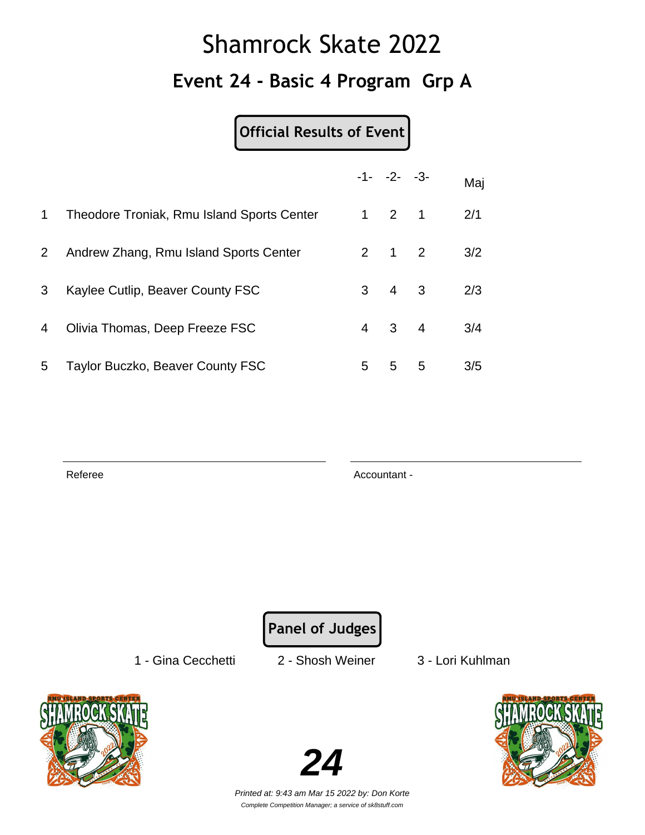## Shamrock Skate 2022 **Event 24 - Basic 4 Program Grp A**

### **Official Results of Event**

|              |                                            |   | $-1 - -2 - -3$      |   | Maj |
|--------------|--------------------------------------------|---|---------------------|---|-----|
| $\mathbf 1$  | Theodore Troniak, Rmu Island Sports Center |   | $1 \quad 2 \quad 1$ |   | 2/1 |
| $\mathbf{2}$ | Andrew Zhang, Rmu Island Sports Center     |   | $2 \quad 1 \quad 2$ |   | 3/2 |
| 3            | Kaylee Cutlip, Beaver County FSC           |   | $3 \quad 4 \quad 3$ |   | 2/3 |
| 4            | Olivia Thomas, Deep Freeze FSC             |   | 4 3 4               |   | 3/4 |
| 5            | Taylor Buczko, Beaver County FSC           | 5 | 5                   | 5 | 3/5 |

Referee Accountant -

**Panel of Judges**

1 - Gina Cecchetti 2 - Shosh Weiner 3 - Lori Kuhlman





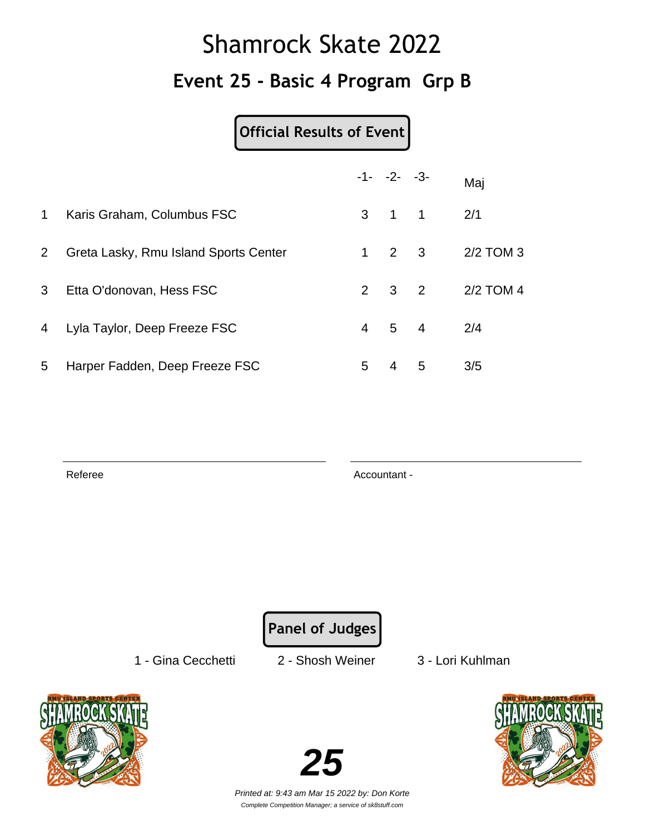## Shamrock Skate 2022 **Event 25 - Basic 4 Program Grp B**

### **Official Results of Event**

|                |                                       |    | $-1 - -2 - -3$      |                     | Maj       |
|----------------|---------------------------------------|----|---------------------|---------------------|-----------|
| 1              | Karis Graham, Columbus FSC            |    | $3 \quad 1 \quad 1$ |                     | 2/1       |
| $2^{\circ}$    | Greta Lasky, Rmu Island Sports Center |    |                     | $1 \quad 2 \quad 3$ | 2/2 TOM 3 |
| 3 <sup>1</sup> | Etta O'donovan, Hess FSC              |    | $2 \quad 3 \quad 2$ |                     | 2/2 TOM 4 |
| $\overline{4}$ | Lyla Taylor, Deep Freeze FSC          |    | $4 \quad 5 \quad 4$ |                     | 2/4       |
| 5              | Harper Fadden, Deep Freeze FSC        | 5. | 4                   | 5                   | 3/5       |

Referee Accountant -

**Panel of Judges**

1 - Gina Cecchetti 2 - Shosh Weiner 3 - Lori Kuhlman





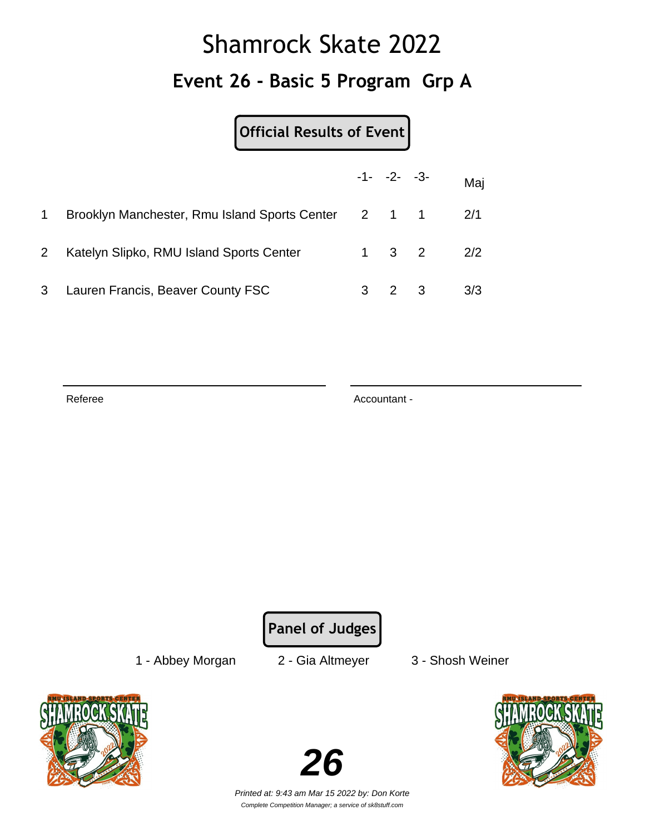## Shamrock Skate 2022 **Event 26 - Basic 5 Program Grp A**

**Official Results of Event**

|                |                                                         | $-1 - -2 - -3$      | Maj |
|----------------|---------------------------------------------------------|---------------------|-----|
|                | Brooklyn Manchester, Rmu Island Sports Center 2 1 1 2/1 |                     |     |
| 2 <sup>1</sup> | Katelyn Slipko, RMU Island Sports Center                | $1 \quad 3 \quad 2$ | 2/2 |
| 3              | Lauren Francis, Beaver County FSC                       | $3 \quad 2 \quad 3$ | 3/3 |

Referee Accountant -

**Panel of Judges**

1 - Abbey Morgan 2 - Gia Altmeyer 3 - Shosh Weiner





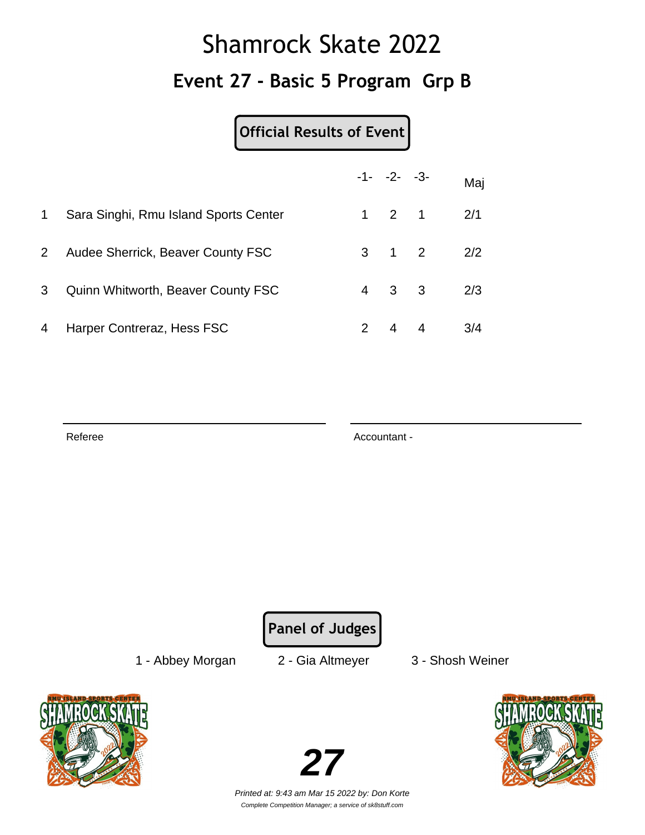## Shamrock Skate 2022 **Event 27 - Basic 5 Program Grp B**

#### **Official Results of Event**

|                |                                       |               | $-1 - -2 - -3$      | Maj |
|----------------|---------------------------------------|---------------|---------------------|-----|
| 1              | Sara Singhi, Rmu Island Sports Center |               | $1 \quad 2 \quad 1$ | 2/1 |
| 2 <sup>1</sup> | Audee Sherrick, Beaver County FSC     |               | $3 \quad 1 \quad 2$ | 2/2 |
| 3              | Quinn Whitworth, Beaver County FSC    |               | 4 3 3               | 2/3 |
| 4              | Harper Contreraz, Hess FSC            | $\mathcal{P}$ | 4 4                 | 3/4 |

Referee Accountant - Accountant - Accountant -

**Panel of Judges**

1 - Abbey Morgan 2 - Gia Altmeyer 3 - Shosh Weiner



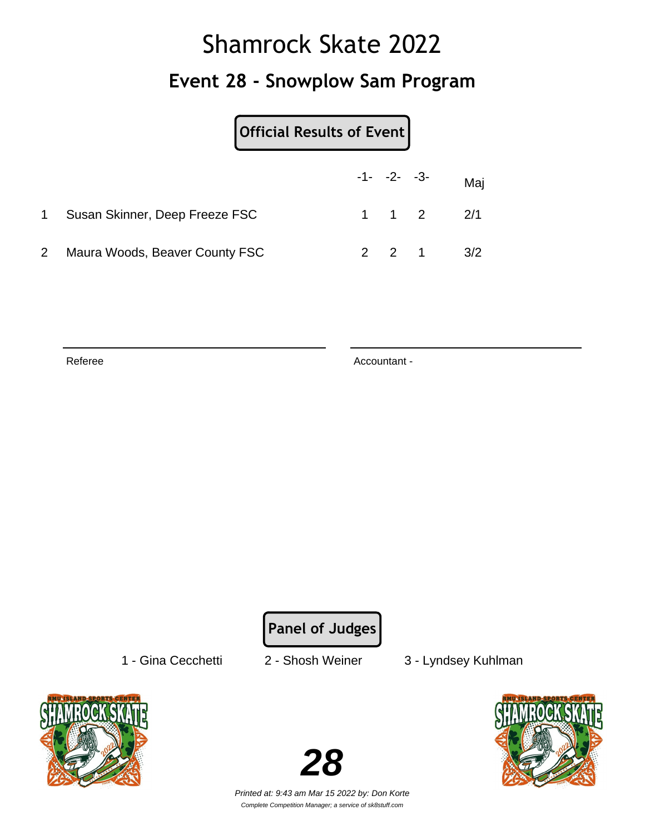### Shamrock Skate 2022 **Event 28 - Snowplow Sam Program**

|                |                                | Official Results of Event |  |  |                               |  |
|----------------|--------------------------------|---------------------------|--|--|-------------------------------|--|
|                |                                |                           |  |  | $-1 - -2 - -3 -$ Maj          |  |
|                | Susan Skinner, Deep Freeze FSC |                           |  |  | $1 \quad 1 \quad 2 \quad 2/1$ |  |
| $\overline{2}$ | Maura Woods, Beaver County FSC |                           |  |  | $2 \t2 \t1 \t3/2$             |  |

Referee Accountant -

**Panel of Judges**

- 
- 1 Gina Cecchetti 2 Shosh Weiner 3 Lyndsey Kuhlman





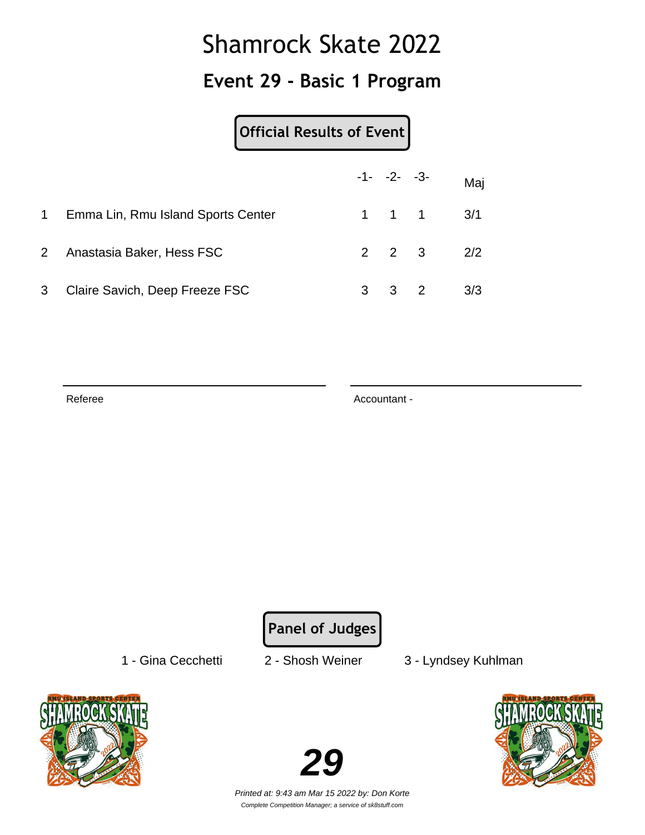### **Event 29 - Basic 1 Program**

|                |                                    |   |            | $-1 - -2 - -3 -$              | Maj |
|----------------|------------------------------------|---|------------|-------------------------------|-----|
| $1 \quad$      | Emma Lin, Rmu Island Sports Center |   |            | $1 \quad 1 \quad 1 \quad 3/1$ |     |
| $\mathbf{2}$   | Anastasia Baker, Hess FSC          |   |            | $2 \t2 \t3 \t2/2$             |     |
| 3 <sup>7</sup> | Claire Savich, Deep Freeze FSC     | 3 | $3\quad 2$ |                               | 3/3 |

Referee Accountant -

**Panel of Judges**

- 
- 1 Gina Cecchetti 2 Shosh Weiner 3 Lyndsey Kuhlman



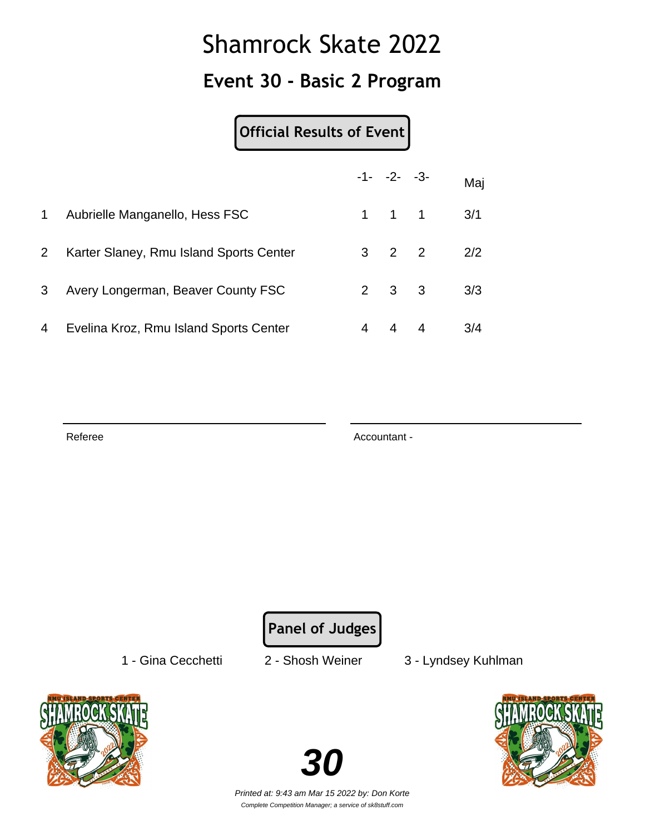### **Event 30 - Basic 2 Program**

#### **Official Results of Event**

|                |                                         |   | $-1 - -2 - -3$      |                | Maj |
|----------------|-----------------------------------------|---|---------------------|----------------|-----|
| 1              | Aubrielle Manganello, Hess FSC          |   | $1 \quad 1 \quad 1$ |                | 3/1 |
| 2 <sup>1</sup> | Karter Slaney, Rmu Island Sports Center |   | $3 \quad 2 \quad 2$ |                | 2/2 |
| 3              | Avery Longerman, Beaver County FSC      |   | $2 \quad 3 \quad 3$ |                | 3/3 |
| 4              | Evelina Kroz, Rmu Island Sports Center  | 4 | 4                   | $\overline{4}$ | 3/4 |

Referee Accountant - Accountant - Accountant -

**Panel of Judges**

1 - Gina Cecchetti 2 - Shosh Weiner 3 - Lyndsey Kuhlman





Printed at: 9:43 am Mar 15 2022 by: Don Korte Complete Competition Manager; a service of sk8stuff.com

**30**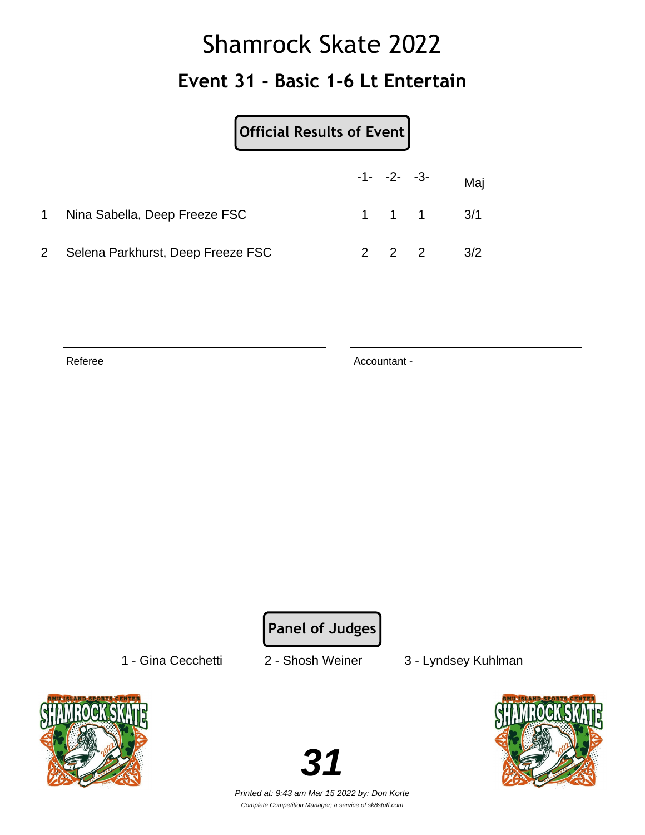### Shamrock Skate 2022 **Event 31 - Basic 1-6 Lt Entertain**

|                | Official Results of Event         |  |                   |                               |
|----------------|-----------------------------------|--|-------------------|-------------------------------|
|                |                                   |  |                   | $-1$ - $-2$ - $-3$ - Maj      |
|                | Nina Sabella, Deep Freeze FSC     |  |                   | $1 \quad 1 \quad 1 \quad 3/1$ |
| $\mathbf{2}^-$ | Selena Parkhurst, Deep Freeze FSC |  | $2\quad 2\quad 2$ | 3/2                           |

Referee Accountant -

**Panel of Judges**

1 - Gina Cecchetti 2 - Shosh Weiner 3 - Lyndsey Kuhlman



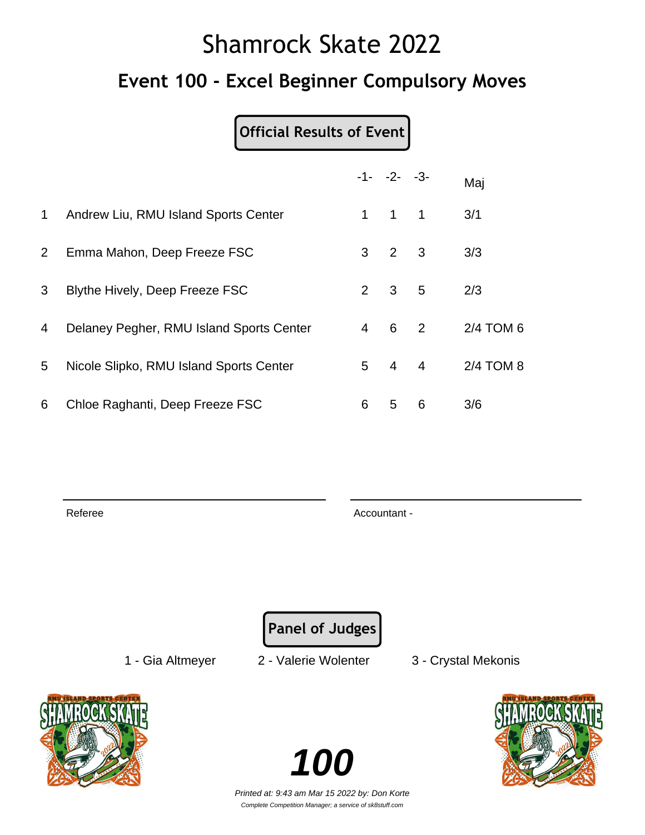# Shamrock Skate 2022 **Event 100 - Excel Beginner Compulsory Moves**

### **Official Results of Event**

|             |                                          |                | $-1 - -2 - -3$      |                            | Maj       |
|-------------|------------------------------------------|----------------|---------------------|----------------------------|-----------|
| $\mathbf 1$ | Andrew Liu, RMU Island Sports Center     | 1.             | $1 \quad 1$         |                            | 3/1       |
| $2^{\circ}$ | Emma Mahon, Deep Freeze FSC              | 3              | $2 \quad 3$         |                            | 3/3       |
| 3           | Blythe Hively, Deep Freeze FSC           |                | $2 \quad 3 \quad 5$ |                            | 2/3       |
| 4           | Delaney Pegher, RMU Island Sports Center | $\overline{4}$ | $6\overline{6}$     | $\overline{\phantom{a}}^2$ | 2/4 TOM 6 |
| 5           | Nicole Slipko, RMU Island Sports Center  | 5              | $4 \quad 4$         |                            | 2/4 TOM 8 |
| 6           | Chloe Raghanti, Deep Freeze FSC          | 6              | 5                   | 6                          | 3/6       |

Referee Accountant - Accountant - Accountant - Accountant -

**Panel of Judges**

1 - Gia Altmeyer 2 - Valerie Wolenter 3 - Crystal Mekonis





Printed at: 9:43 am Mar 15 2022 by: Don Korte Complete Competition Manager; a service of sk8stuff.com

**100**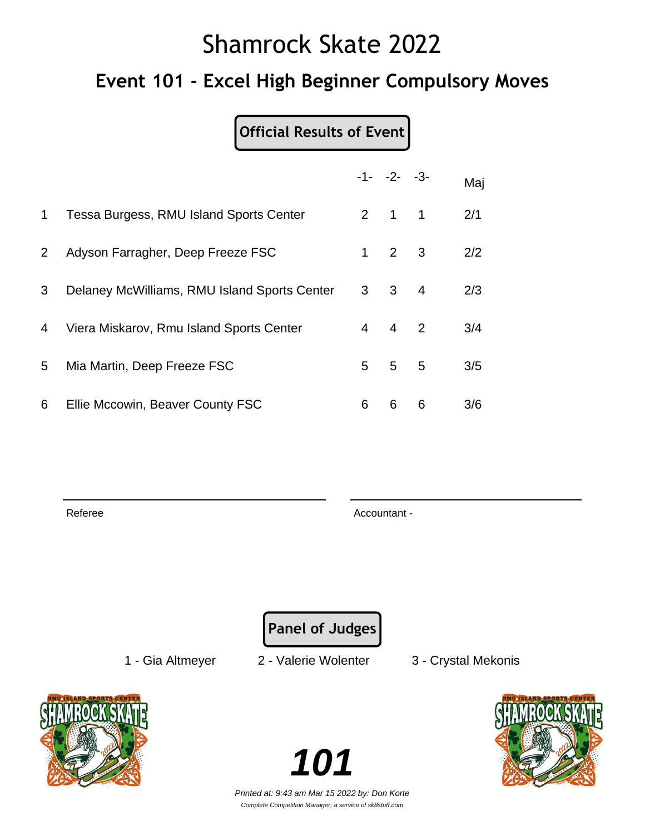### **Event 101 - Excel High Beginner Compulsory Moves**

**Official Results of Event**

|                       |                                              |                | $-1 - -2 - -3$      |                | Maj |
|-----------------------|----------------------------------------------|----------------|---------------------|----------------|-----|
| 1.                    | Tessa Burgess, RMU Island Sports Center      |                | $2 \quad 1 \quad 1$ |                | 2/1 |
| $\mathbf{2}^{\prime}$ | Adyson Farragher, Deep Freeze FSC            | $\mathbf 1$    | 2 3                 |                | 2/2 |
| 3                     | Delaney McWilliams, RMU Island Sports Center |                | $3 \quad 3$         | $\overline{4}$ | 2/3 |
| 4                     | Viera Miskarov, Rmu Island Sports Center     | $\overline{4}$ | 4 2                 |                | 3/4 |
| 5                     | Mia Martin, Deep Freeze FSC                  | 5              | 5                   | $-5$           | 3/5 |
| 6                     | Ellie Mccowin, Beaver County FSC             | 6              | 6                   | 6              | 3/6 |

Referee Accountant - Accountant - Accountant - Accountant -

**Panel of Judges**

1 - Gia Altmeyer 2 - Valerie Wolenter 3 - Crystal Mekonis





Printed at: 9:43 am Mar 15 2022 by: Don Korte Complete Competition Manager; a service of sk8stuff.com

**101**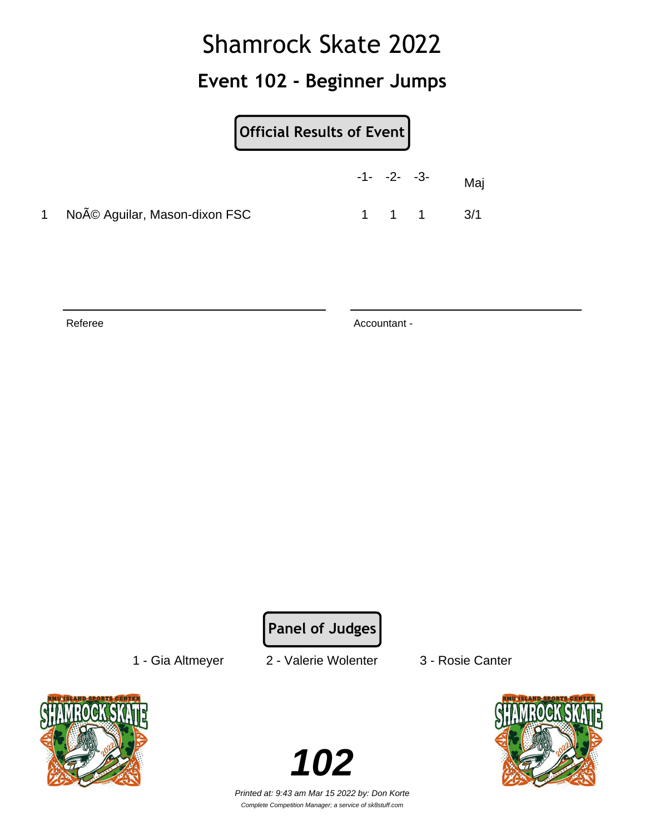### **Event 102 - Beginner Jumps**

| <b>Official Results of Event</b> |
|----------------------------------|
|----------------------------------|

|                                | $-1 - -2 - -3$ |       | Mai |
|--------------------------------|----------------|-------|-----|
| 1 Noé Aguilar, Mason-dixon FSC |                | 1 1 1 | 3/1 |

Referee Accountant -

**Panel of Judges**

1 - Gia Altmeyer 2 - Valerie Wolenter 3 - Rosie Canter



**102**

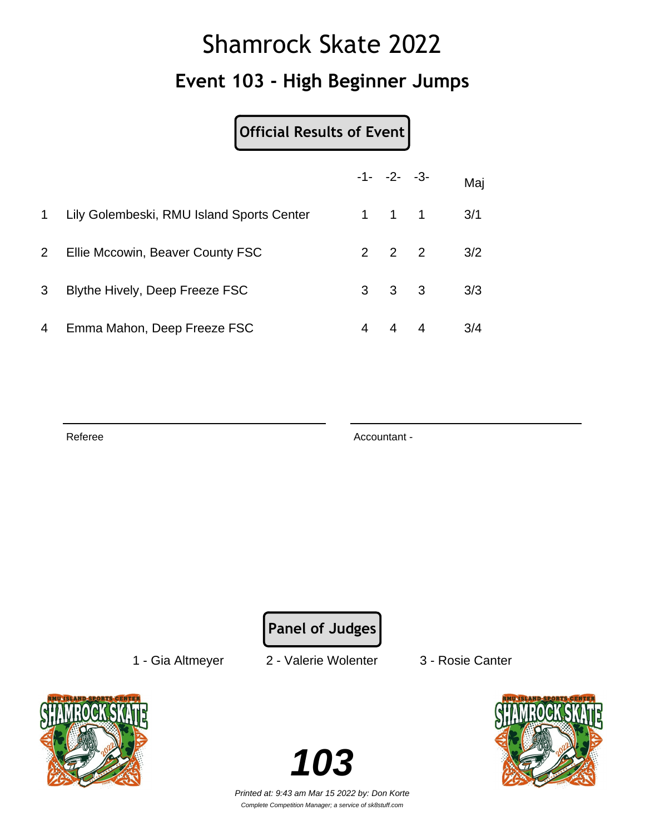## Shamrock Skate 2022 **Event 103 - High Beginner Jumps**

**Official Results of Event**

|                |                                           |   | $-1 - -2 - -3$      | Maj |
|----------------|-------------------------------------------|---|---------------------|-----|
| $\mathbf 1$    | Lily Golembeski, RMU Island Sports Center |   | $1 \quad 1 \quad 1$ | 3/1 |
| 2 <sup>1</sup> | Ellie Mccowin, Beaver County FSC          |   | $2 \quad 2 \quad 2$ | 3/2 |
| 3              | Blythe Hively, Deep Freeze FSC            |   | $3 \quad 3 \quad 3$ | 3/3 |
| 4              | Emma Mahon, Deep Freeze FSC               | 4 | 4 4                 | 3/4 |

Referee Accountant - Accountant - Accountant -

**Panel of Judges**

1 - Gia Altmeyer 2 - Valerie Wolenter 3 - Rosie Canter



**103**

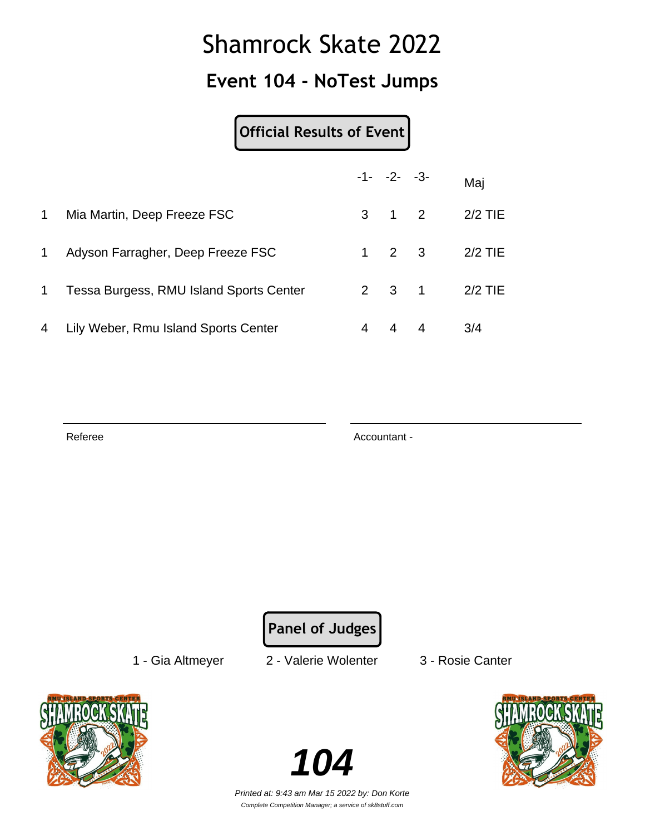### **Event 104 - NoTest Jumps**

#### **Official Results of Event**

|             |                                         | $-1 - -2 - -3$      |                     | Maj           |
|-------------|-----------------------------------------|---------------------|---------------------|---------------|
| 1           | Mia Martin, Deep Freeze FSC             | $3 \quad 1 \quad 2$ |                     | $2/2$ TIE     |
| 1.          | Adyson Farragher, Deep Freeze FSC       |                     | $1 \quad 2 \quad 3$ | $2/2$ TIE     |
| $\mathbf 1$ | Tessa Burgess, RMU Island Sports Center |                     |                     | 2 3 1 2/2 TIE |
| 4           | Lily Weber, Rmu Island Sports Center    | 44                  |                     | 3/4           |

Referee Accountant - Accountant - Accountant -

**Panel of Judges**

1 - Gia Altmeyer 2 - Valerie Wolenter 3 - Rosie Canter



**104**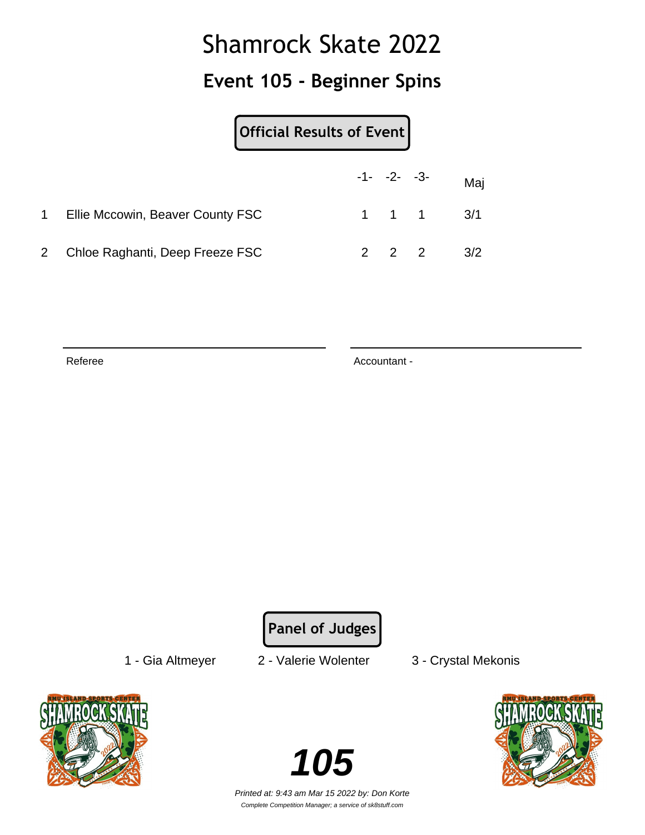### **Event 105 - Beginner Spins**

|              |                                  | Official Results of Event |  |  |                               |  |
|--------------|----------------------------------|---------------------------|--|--|-------------------------------|--|
|              |                                  |                           |  |  | $-1 - -2 - -3 -$ Maj          |  |
|              | Ellie Mccowin, Beaver County FSC |                           |  |  | $1 \quad 1 \quad 1 \quad 3/1$ |  |
| $\mathbf{2}$ | Chloe Raghanti, Deep Freeze FSC  |                           |  |  | $2 \t2 \t2 \t3/2$             |  |

Referee Accountant -

**Panel of Judges**

1 - Gia Altmeyer 2 - Valerie Wolenter 3 - Crystal Mekonis





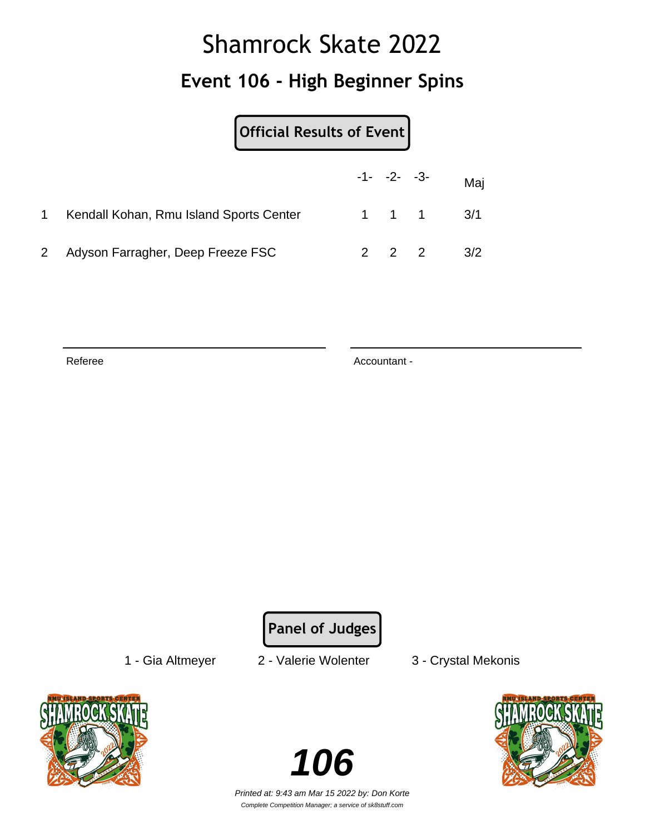## Shamrock Skate 2022 **Event 106 - High Beginner Spins**

|                | Official Results of Event               |  |                     |                               |
|----------------|-----------------------------------------|--|---------------------|-------------------------------|
|                |                                         |  | $-1 - -2 - -3$      | Maj                           |
| 1.             | Kendall Kohan, Rmu Island Sports Center |  |                     | $1 \quad 1 \quad 1 \quad 3/1$ |
| $\mathbf{2}^-$ | Adyson Farragher, Deep Freeze FSC       |  | $2 \quad 2 \quad 2$ | 3/2                           |

Referee Accountant -

**Panel of Judges**

1 - Gia Altmeyer 2 - Valerie Wolenter 3 - Crystal Mekonis



**106**

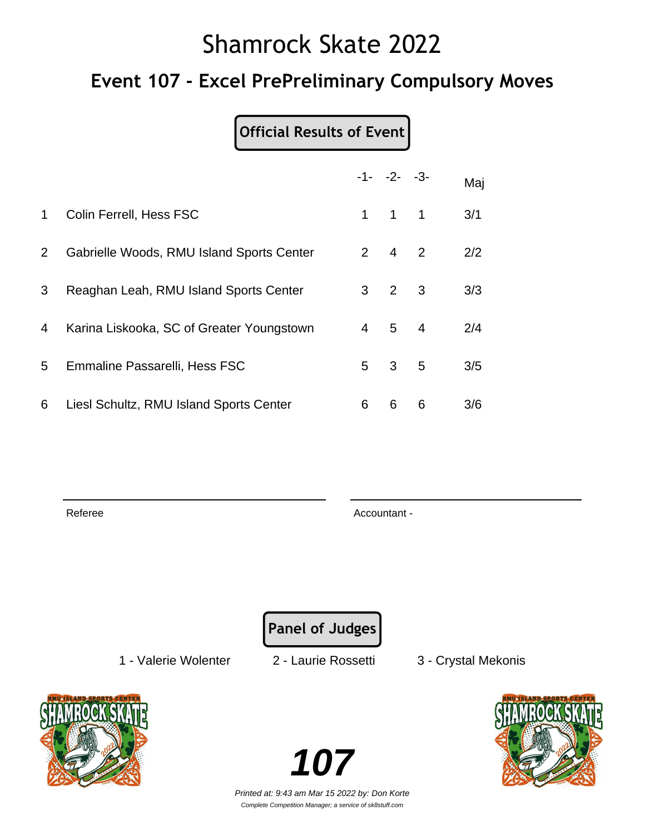### **Event 107 - Excel PrePreliminary Compulsory Moves**

#### **Official Results of Event**

|              |                                           |             | $-1 - -2 - -3$      |   | Maj |
|--------------|-------------------------------------------|-------------|---------------------|---|-----|
| $\mathbf 1$  | Colin Ferrell, Hess FSC                   | $\mathbf 1$ | $1 \quad 1$         |   | 3/1 |
| $\mathbf{2}$ | Gabrielle Woods, RMU Island Sports Center |             | $2 \quad 4 \quad 2$ |   | 2/2 |
| 3            | Reaghan Leah, RMU Island Sports Center    |             | $3 \quad 2 \quad 3$ |   | 3/3 |
| 4            | Karina Liskooka, SC of Greater Youngstown |             | $4 \quad 5 \quad 4$ |   | 2/4 |
| 5            | Emmaline Passarelli, Hess FSC             | 5           | 3 <sub>5</sub>      |   | 3/5 |
| 6            | Liesl Schultz, RMU Island Sports Center   | 6           | 6                   | 6 | 3/6 |

Referee Accountant - Accountant - Accountant - Accountant -

**Panel of Judges**

1 - Valerie Wolenter 2 - Laurie Rossetti 3 - Crystal Mekonis



**107**

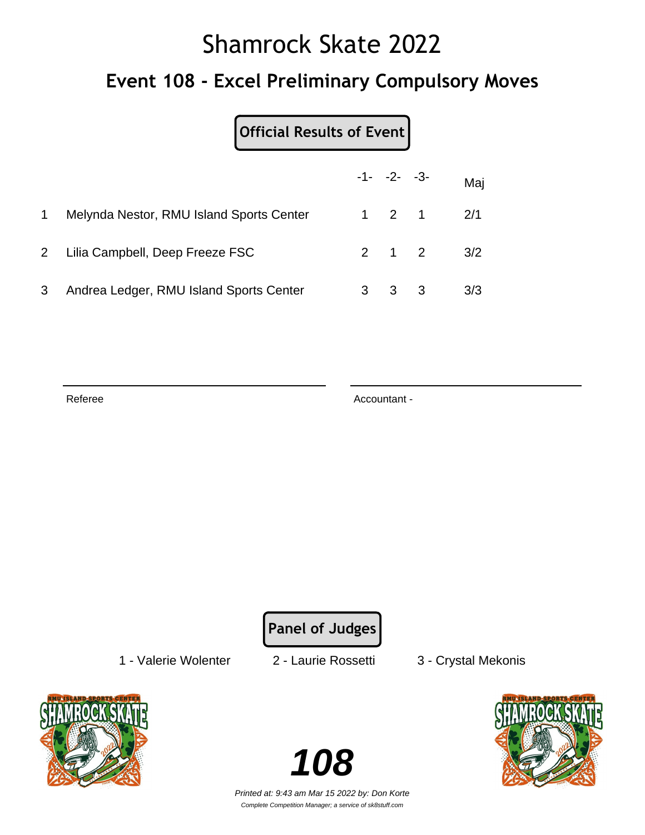### **Event 108 - Excel Preliminary Compulsory Moves**

|   |                                          |                     | $-1 - -2 - -3 -$  | Maj |
|---|------------------------------------------|---------------------|-------------------|-----|
|   | Melynda Nestor, RMU Island Sports Center | $1 \quad 2 \quad 1$ |                   | 2/1 |
|   | 2 Lilia Campbell, Deep Freeze FSC        |                     | $2 \t1 \t2 \t3/2$ |     |
| 3 | Andrea Ledger, RMU Island Sports Center  | $3 \quad 3 \quad 3$ |                   | 3/3 |

Referee Accountant - Accountant - Accountant -

**Panel of Judges**

1 - Valerie Wolenter 2 - Laurie Rossetti 3 - Crystal Mekonis



**108**

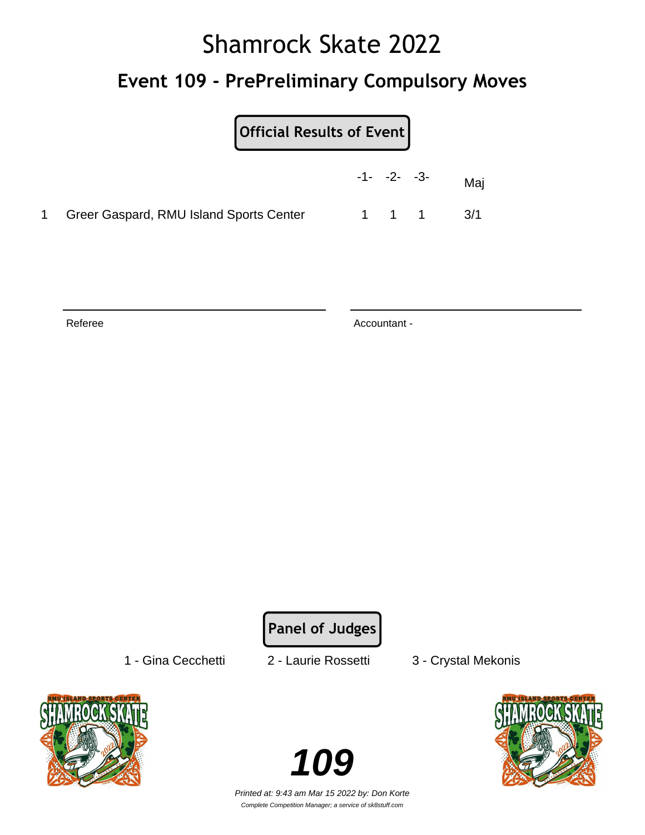### **Event 109 - PrePreliminary Compulsory Moves**

| Official Results of Event |
|---------------------------|
|---------------------------|

|                                           | $-1 - -2 - -3$ |       | Mai |
|-------------------------------------------|----------------|-------|-----|
| 1 Greer Gaspard, RMU Island Sports Center |                | 1 1 1 | 3/1 |

Referee Accountant -

**Panel of Judges**

1 - Gina Cecchetti 2 - Laurie Rossetti 3 - Crystal Mekonis



**109** 

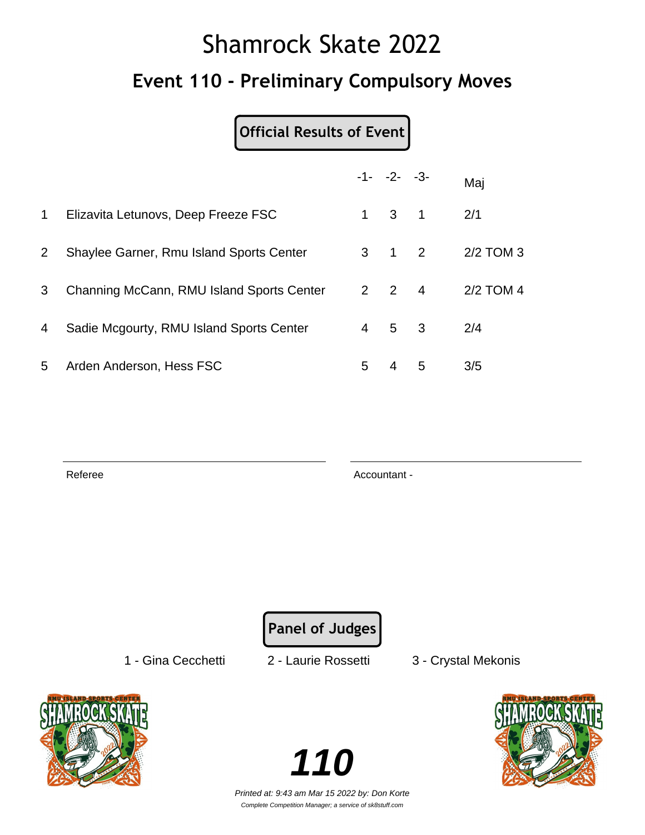# Shamrock Skate 2022 **Event 110 - Preliminary Compulsory Moves**

### **Official Results of Event**

|                |                                           |    | $-1 - -2 - -3$      |   | Maj       |
|----------------|-------------------------------------------|----|---------------------|---|-----------|
| $\mathbf 1$    | Elizavita Letunovs, Deep Freeze FSC       | 1. | $\overline{3}$ 1    |   | 2/1       |
| $\overline{2}$ | Shaylee Garner, Rmu Island Sports Center  |    | $3 \quad 1 \quad 2$ |   | 2/2 TOM 3 |
| 3              | Channing McCann, RMU Island Sports Center |    | $2 \quad 2 \quad 4$ |   | 2/2 TOM 4 |
| 4              | Sadie Mcgourty, RMU Island Sports Center  |    | $4\quad 5\quad 3$   |   | 2/4       |
| 5              | Arden Anderson, Hess FSC                  | 5. | 4                   | 5 | 3/5       |

Referee Accountant -

**Panel of Judges**

1 - Gina Cecchetti 2 - Laurie Rossetti 3 - Crystal Mekonis



**110** Printed at: 9:43 am Mar 15 2022 by: Don Korte

Complete Competition Manager; a service of sk8stuff.com

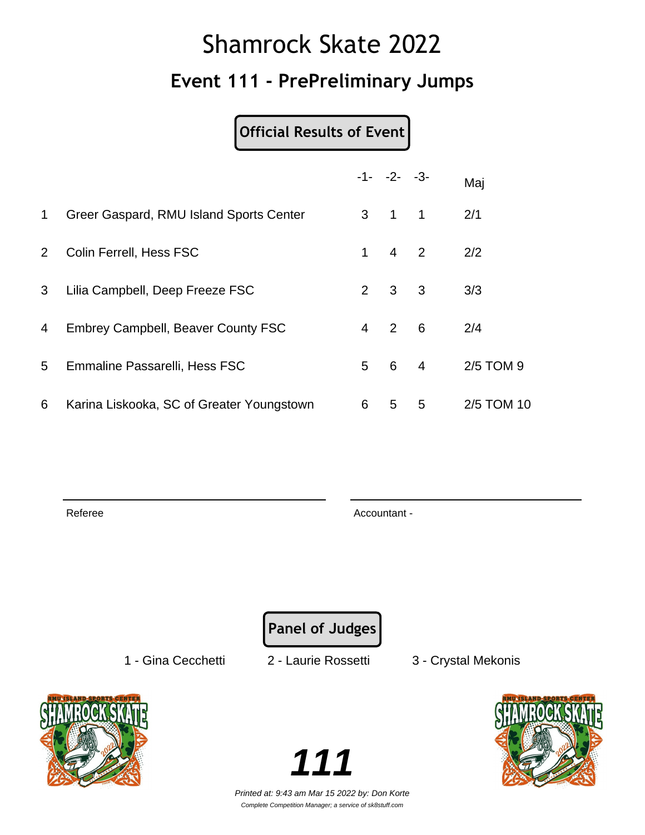## Shamrock Skate 2022 **Event 111 - PrePreliminary Jumps**

#### **Official Results of Event**

|             |                                           |                | $-1 - -2 - -3$      |                         | Maj        |
|-------------|-------------------------------------------|----------------|---------------------|-------------------------|------------|
| $\mathbf 1$ | Greer Gaspard, RMU Island Sports Center   |                | $3 \quad 1 \quad 1$ |                         | 2/1        |
| $2^{\circ}$ | Colin Ferrell, Hess FSC                   | 1              | $4\quad 2$          |                         | 2/2        |
| 3           | Lilia Campbell, Deep Freeze FSC           | $2^{\circ}$    | 3 <sup>1</sup>      | $\overline{\mathbf{3}}$ | 3/3        |
| 4           | <b>Embrey Campbell, Beaver County FSC</b> | $\overline{4}$ | 2                   | $-6$                    | 2/4        |
| 5           | Emmaline Passarelli, Hess FSC             | 5              | 6                   | $\overline{4}$          | 2/5 TOM 9  |
| 6           | Karina Liskooka, SC of Greater Youngstown | 6              | 5                   | 5                       | 2/5 TOM 10 |

Referee Accountant - Accountant - Accountant - Accountant -

**Panel of Judges**

1 - Gina Cecchetti 2 - Laurie Rossetti 3 - Crystal Mekonis



**111**

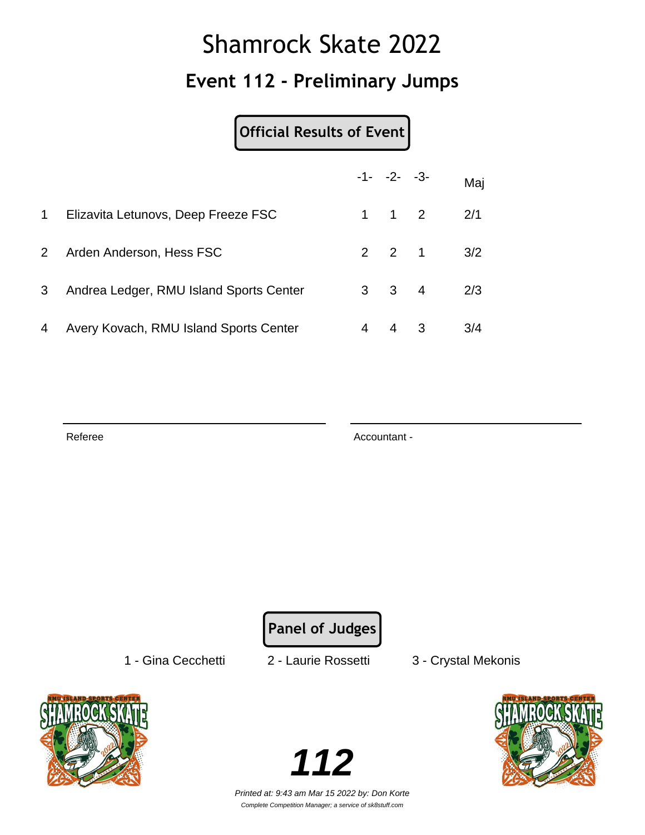## Shamrock Skate 2022 **Event 112 - Preliminary Jumps**

#### **Official Results of Event**

|                |                                         |   | $-1 - -2 - -3$      |                         | Maj |
|----------------|-----------------------------------------|---|---------------------|-------------------------|-----|
| 1              | Elizavita Letunovs, Deep Freeze FSC     |   | $1 \quad 1 \quad 2$ |                         | 2/1 |
| $\overline{2}$ | Arden Anderson, Hess FSC                |   | $2 \quad 2 \quad 1$ |                         | 3/2 |
| 3              | Andrea Ledger, RMU Island Sports Center |   | $3 \quad 3 \quad 4$ |                         | 2/3 |
| 4              | Avery Kovach, RMU Island Sports Center  | 4 | 4                   | $\overline{\mathbf{3}}$ | 3/4 |

Referee Accountant - Accountant - Accountant -

**Panel of Judges**

1 - Gina Cecchetti 2 - Laurie Rossetti 3 - Crystal Mekonis



**112**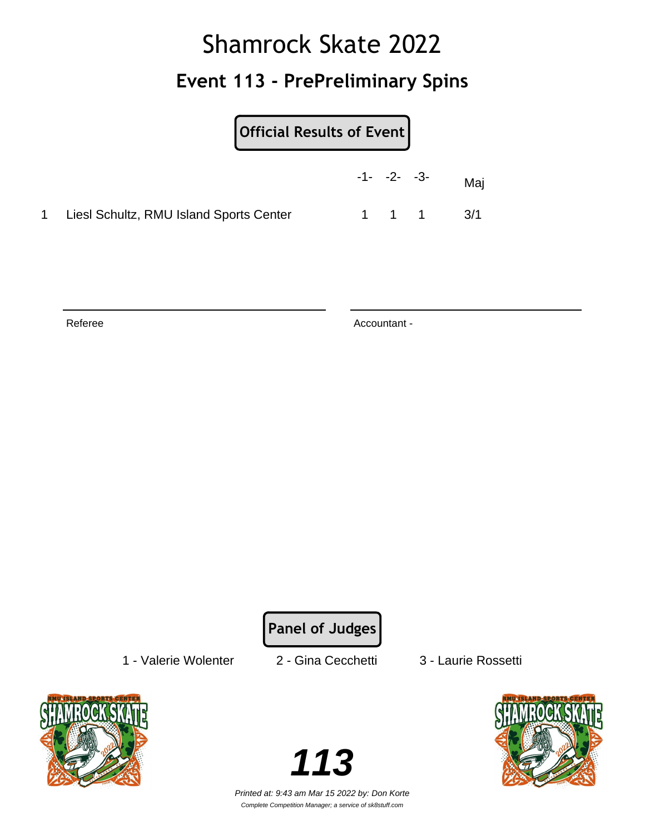### **Event 113 - PrePreliminary Spins**

| <b>Official Results of Event</b> |
|----------------------------------|
|----------------------------------|

|                                         | $-1 - -2 - -3$ |       | Maj |
|-----------------------------------------|----------------|-------|-----|
| Liesl Schultz, RMU Island Sports Center |                | 1 1 1 | 3/1 |

Referee Accountant -

**Panel of Judges**

1 - Valerie Wolenter 2 - Gina Cecchetti 3 - Laurie Rossetti



**113**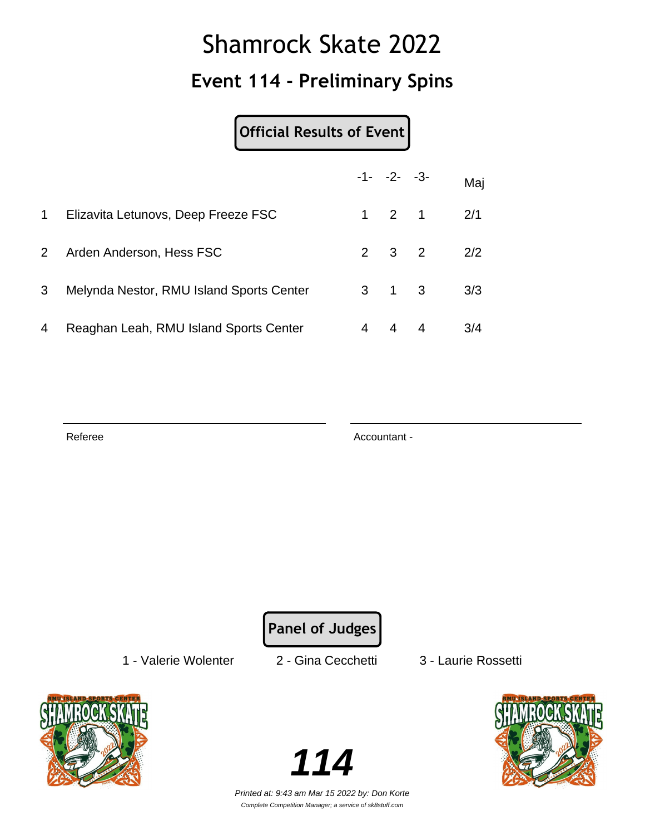### **Event 114 - Preliminary Spins**

#### **Official Results of Event**

|                |                                          |   | $-1 - -2 - -3$      |   | Maj |
|----------------|------------------------------------------|---|---------------------|---|-----|
| 1              | Elizavita Letunovs, Deep Freeze FSC      |   | $1 \quad 2 \quad 1$ |   | 2/1 |
| 2 <sup>1</sup> | Arden Anderson, Hess FSC                 |   | $2 \quad 3 \quad 2$ |   | 2/2 |
| 3              | Melynda Nestor, RMU Island Sports Center |   | $3 \quad 1 \quad 3$ |   | 3/3 |
| 4              | Reaghan Leah, RMU Island Sports Center   | 4 | $\overline{4}$      | 4 | 3/4 |

Referee Accountant - Accountant - Accountant -

**Panel of Judges**

1 - Valerie Wolenter 2 - Gina Cecchetti 3 - Laurie Rossetti



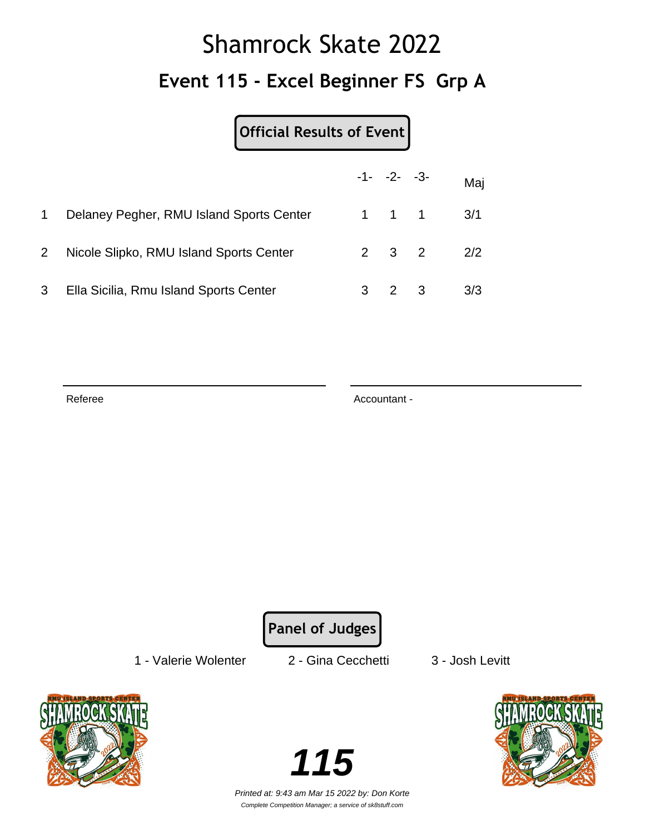# Shamrock Skate 2022 **Event 115 - Excel Beginner FS Grp A**

**Official Results of Event**

|             |                                          | $-1 - -2 - -3 -$    |                     | Maj |
|-------------|------------------------------------------|---------------------|---------------------|-----|
|             | Delaney Pegher, RMU Island Sports Center |                     | $1 \quad 1 \quad 1$ | 3/1 |
| $2^{\circ}$ | Nicole Slipko, RMU Island Sports Center  | $2 \quad 3 \quad 2$ |                     | 2/2 |
| 3           | Ella Sicilia, Rmu Island Sports Center   | $2 \quad 3$         |                     | 3/3 |

Referee Accountant -

**Panel of Judges**

1 - Valerie Wolenter 2 - Gina Cecchetti 3 - Josh Levitt



**115**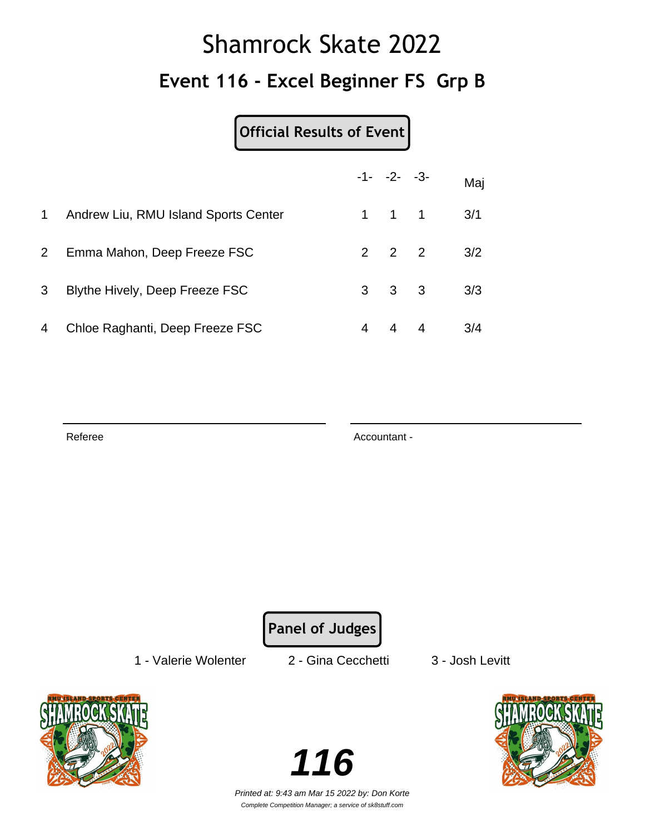## Shamrock Skate 2022 **Event 116 - Excel Beginner FS Grp B**

#### **Official Results of Event**

|             |                                      |   | $-1 - -2 - -3$      | Maj |
|-------------|--------------------------------------|---|---------------------|-----|
| $\mathbf 1$ | Andrew Liu, RMU Island Sports Center |   | $1 \quad 1 \quad 1$ | 3/1 |
| $2^{\circ}$ | Emma Mahon, Deep Freeze FSC          |   | $2 \quad 2 \quad 2$ | 3/2 |
| 3           | Blythe Hively, Deep Freeze FSC       |   | $3 \quad 3 \quad 3$ | 3/3 |
| 4           | Chloe Raghanti, Deep Freeze FSC      | 4 | $4 \quad 4$         | 3/4 |

Referee Accountant - Accountant - Accountant -

**Panel of Judges**

1 - Valerie Wolenter 2 - Gina Cecchetti 3 - Josh Levitt



**116**

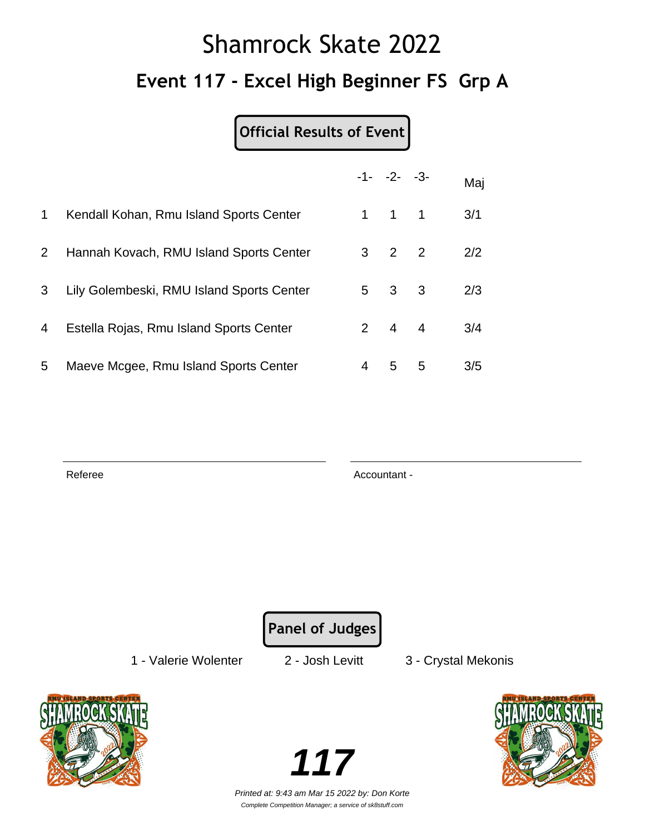# Shamrock Skate 2022 **Event 117 - Excel High Beginner FS Grp A**

### **Official Results of Event**

|                       |                                           |   | $-1 - -2 - -3$      |   | Maj |
|-----------------------|-------------------------------------------|---|---------------------|---|-----|
| $\mathbf{1}$          | Kendall Kohan, Rmu Island Sports Center   |   | $1 \quad 1 \quad 1$ |   | 3/1 |
| $\mathbf{2}^{\prime}$ | Hannah Kovach, RMU Island Sports Center   |   | $3 \quad 2 \quad 2$ |   | 2/2 |
| 3                     | Lily Golembeski, RMU Island Sports Center |   | $5 \quad 3 \quad 3$ |   | 2/3 |
| 4                     | Estella Rojas, Rmu Island Sports Center   |   | $2 \quad 4 \quad 4$ |   | 3/4 |
| 5                     | Maeve Mcgee, Rmu Island Sports Center     | 4 | 5                   | 5 | 3/5 |

Referee Accountant -

**Panel of Judges**

1 - Valerie Wolenter 2 - Josh Levitt 3 - Crystal Mekonis



**117**

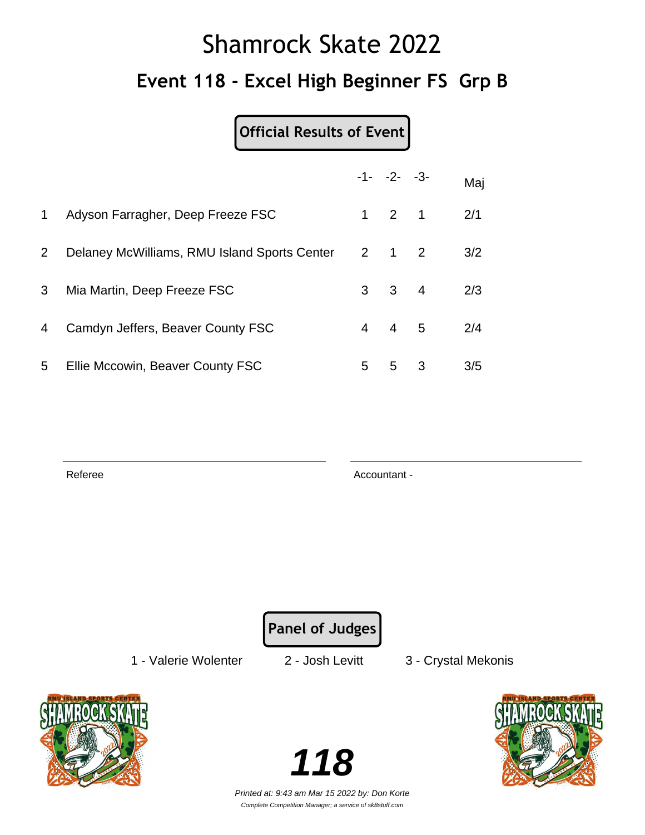# Shamrock Skate 2022 **Event 118 - Excel High Beginner FS Grp B**

**Official Results of Event**

|                       |                                              |   | $-1 - -2 - -3$      |                         | Maj |
|-----------------------|----------------------------------------------|---|---------------------|-------------------------|-----|
| $\mathbf 1$           | Adyson Farragher, Deep Freeze FSC            |   | $1 \quad 2 \quad 1$ |                         | 2/1 |
| $\mathbf{2}^{\prime}$ | Delaney McWilliams, RMU Island Sports Center |   | $2 \quad 1 \quad 2$ |                         | 3/2 |
| 3                     | Mia Martin, Deep Freeze FSC                  |   | $3 \quad 3 \quad 4$ |                         | 2/3 |
| $\overline{4}$        | Camdyn Jeffers, Beaver County FSC            | 4 | $4\quad 5$          |                         | 2/4 |
| 5 <sup>5</sup>        | Ellie Mccowin, Beaver County FSC             | 5 | 5                   | $\overline{\mathbf{3}}$ | 3/5 |

Referee Accountant -

**Panel of Judges**

1 - Valerie Wolenter 2 - Josh Levitt 3 - Crystal Mekonis



**118**

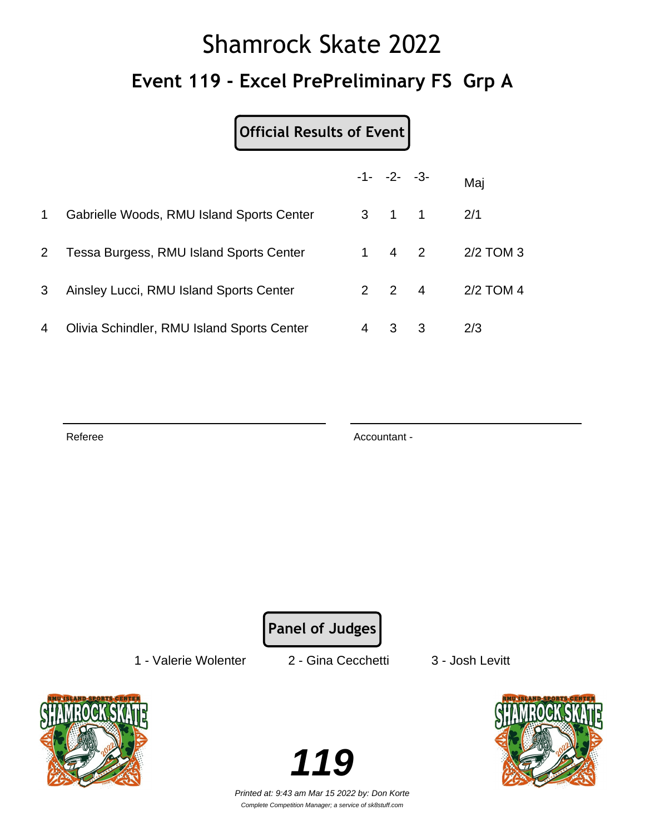# Shamrock Skate 2022 **Event 119 - Excel PrePreliminary FS Grp A**

#### **Official Results of Event**

|                |                                            |   | $-1 - -2 - -3$      |   | Maj         |
|----------------|--------------------------------------------|---|---------------------|---|-------------|
| $\mathbf 1$    | Gabrielle Woods, RMU Island Sports Center  |   | $3 \quad 1 \quad 1$ |   | 2/1         |
| 2 <sup>1</sup> | Tessa Burgess, RMU Island Sports Center    |   | 1 4 2               |   | $2/2$ TOM 3 |
| 3              | Ainsley Lucci, RMU Island Sports Center    |   | $2 \quad 2 \quad 4$ |   | 2/2 TOM 4   |
| 4              | Olivia Schindler, RMU Island Sports Center | 4 | 3                   | 3 | 2/3         |

Referee Accountant - Accountant - Accountant -

**Panel of Judges**

1 - Valerie Wolenter 2 - Gina Cecchetti 3 - Josh Levitt



**119**

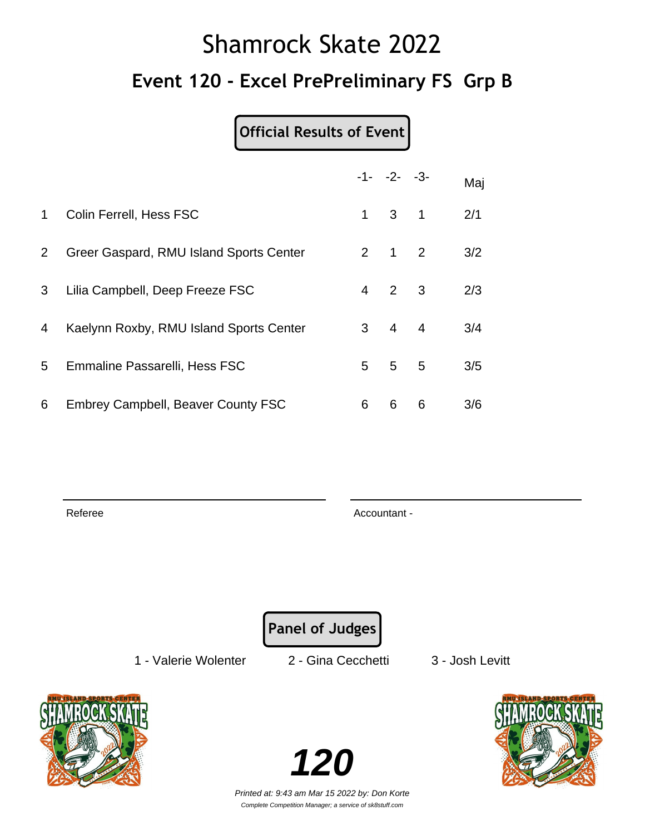## Shamrock Skate 2022 **Event 120 - Excel PrePreliminary FS Grp B**

#### **Official Results of Event**

|              |                                           |             | $-1 - -2 - -3$      |              | Maj |
|--------------|-------------------------------------------|-------------|---------------------|--------------|-----|
| $\mathbf 1$  | Colin Ferrell, Hess FSC                   | $\mathbf 1$ | $3^{\circ}$         | $\mathbf{1}$ | 2/1 |
| $\mathbf{2}$ | Greer Gaspard, RMU Island Sports Center   |             | $2 \quad 1 \quad 2$ |              | 3/2 |
| 3            | Lilia Campbell, Deep Freeze FSC           | 4           | $2 \quad 3$         |              | 2/3 |
| 4            | Kaelynn Roxby, RMU Island Sports Center   |             | $3 \quad 4 \quad 4$ |              | 3/4 |
| 5            | Emmaline Passarelli, Hess FSC             | 5           | 5 <sub>5</sub>      |              | 3/5 |
| 6            | <b>Embrey Campbell, Beaver County FSC</b> | 6           | 6                   | 6            | 3/6 |

Referee Accountant - Accountant - Accountant - Accountant -

**Panel of Judges**

1 - Valerie Wolenter 2 - Gina Cecchetti 3 - Josh Levitt



Printed at: 9:43 am Mar 15 2022 by: Don Korte Complete Competition Manager; a service of sk8stuff.com

**120**

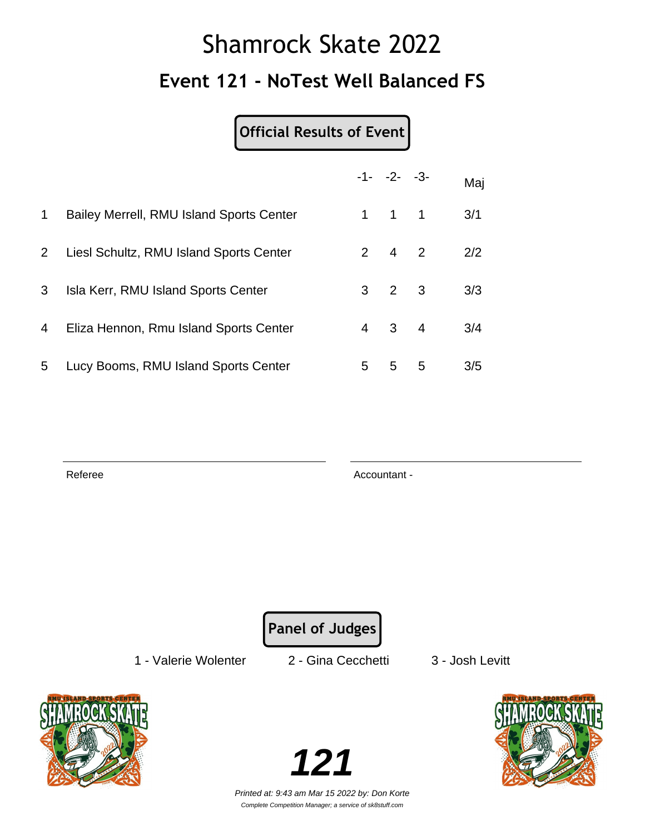## Shamrock Skate 2022 **Event 121 - NoTest Well Balanced FS**

#### **Official Results of Event**

|             |                                          |    | $-1 - -2 - -3$      |   | Maj |
|-------------|------------------------------------------|----|---------------------|---|-----|
| $\mathbf 1$ | Bailey Merrell, RMU Island Sports Center |    | $1 \quad 1 \quad 1$ |   | 3/1 |
| $2^{\circ}$ | Liesl Schultz, RMU Island Sports Center  |    | $2 \t 4 \t 2$       |   | 2/2 |
| 3           | Isla Kerr, RMU Island Sports Center      |    | $3 \quad 2 \quad 3$ |   | 3/3 |
| 4           | Eliza Hennon, Rmu Island Sports Center   |    | 4 3 4               |   | 3/4 |
| 5           | Lucy Booms, RMU Island Sports Center     | 5. | 5                   | 5 | 3/5 |

Referee Accountant -

**Panel of Judges**

1 - Valerie Wolenter 2 - Gina Cecchetti 3 - Josh Levitt



**121**

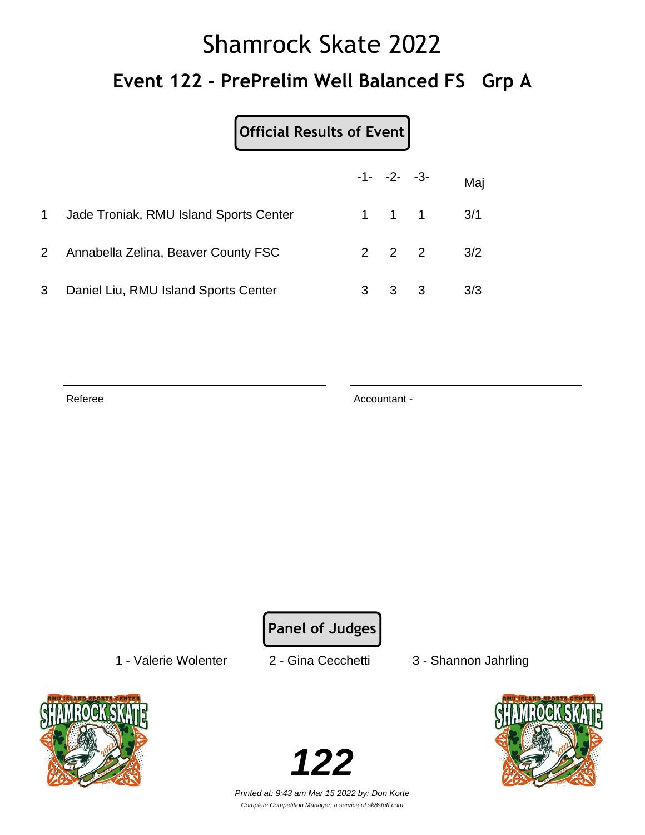# Shamrock Skate 2022 **Event 122 - PrePrelim Well Balanced FS Grp A**

|              |                                        |   | $-1 - -2 - -3 -$    | Maj |
|--------------|----------------------------------------|---|---------------------|-----|
|              | Jade Troniak, RMU Island Sports Center |   | $1 \quad 1 \quad 1$ | 3/1 |
| $\mathbf{2}$ | Annabella Zelina, Beaver County FSC    |   | $2 \quad 2 \quad 2$ | 3/2 |
| 3            | Daniel Liu, RMU Island Sports Center   | 3 | 3 3                 | 3/3 |

Referee Accountant -

**Panel of Judges**

1 - Valerie Wolenter 2 - Gina Cecchetti 3 - Shannon Jahrling



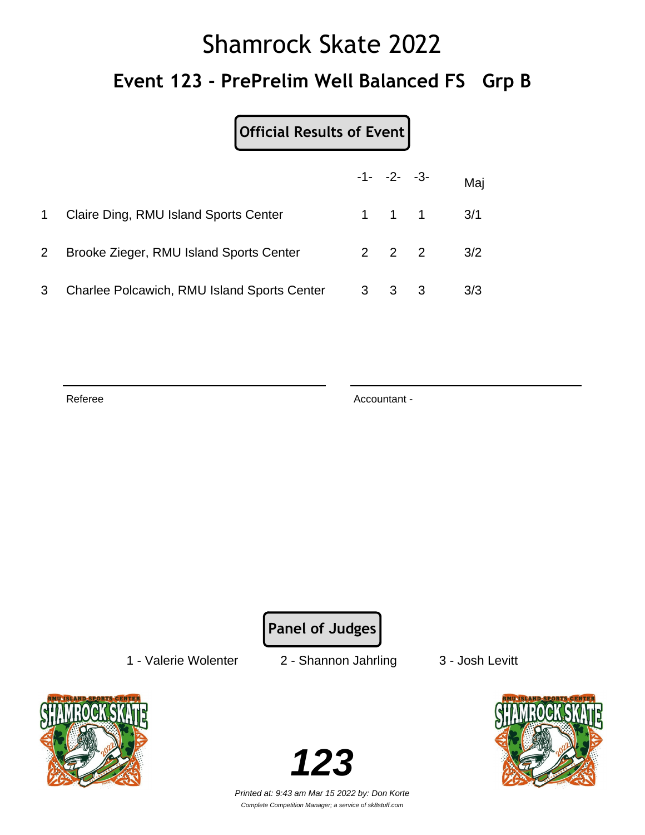# Shamrock Skate 2022 **Event 123 - PrePrelim Well Balanced FS Grp B**

#### **Official Results of Event**

|              |                                             | $-1 - -2 - -3$      |                               | Maj |
|--------------|---------------------------------------------|---------------------|-------------------------------|-----|
| $\mathbf{1}$ | Claire Ding, RMU Island Sports Center       |                     | $1 \quad 1 \quad 1 \quad 3/1$ |     |
| $\mathbf{2}$ | Brooke Zieger, RMU Island Sports Center     | $2 \quad 2 \quad 2$ |                               | 3/2 |
| 3            | Charlee Polcawich, RMU Island Sports Center | $3 \quad 3 \quad 3$ |                               | 3/3 |

Referee Accountant - Accountant - Accountant -

**Panel of Judges**

1 - Valerie Wolenter 2 - Shannon Jahrling 3 - Josh Levitt



**123**

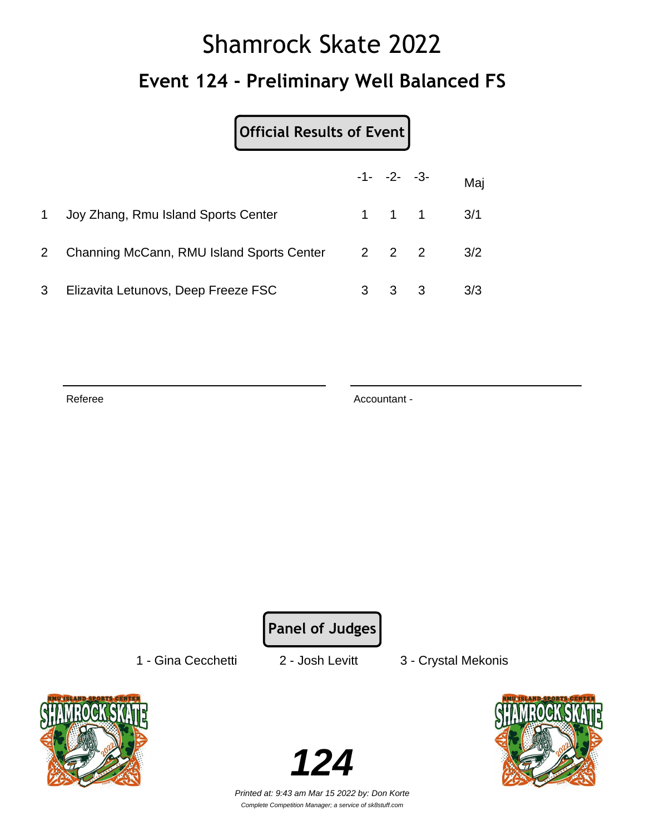# Shamrock Skate 2022 **Event 124 - Preliminary Well Balanced FS**

|                |                                                 |   |             | $-1 - -2 - -3 -$ | Maj                           |
|----------------|-------------------------------------------------|---|-------------|------------------|-------------------------------|
|                | Joy Zhang, Rmu Island Sports Center             |   |             |                  | $1 \quad 1 \quad 1 \quad 3/1$ |
| $\overline{2}$ | Channing McCann, RMU Island Sports Center 2 2 2 |   |             |                  | 3/2                           |
| 3              | Elizavita Letunovs, Deep Freeze FSC             | 3 | $3 \quad 3$ |                  | 3/3                           |

Referee Accountant -

**Panel of Judges**

1 - Gina Cecchetti 2 - Josh Levitt 3 - Crystal Mekonis



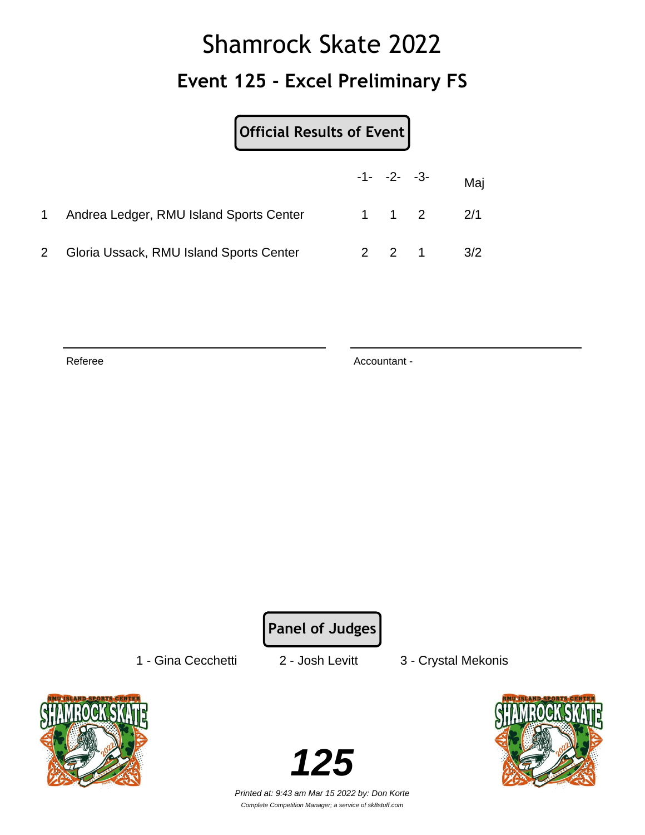## Shamrock Skate 2022 **Event 125 - Excel Preliminary FS**

| Official Results of Event               |                |                               |
|-----------------------------------------|----------------|-------------------------------|
|                                         | $-1 - -2 - -3$ | Maj                           |
| Andrea Ledger, RMU Island Sports Center |                | $1 \quad 1 \quad 2 \quad 2/1$ |
| Gloria Ussack, RMU Island Sports Center |                | $2 \t2 \t1 \t3/2$             |

Referee Accountant -

**Panel of Judges**

1 - Gina Cecchetti 2 - Josh Levitt 3 - Crystal Mekonis



**125**

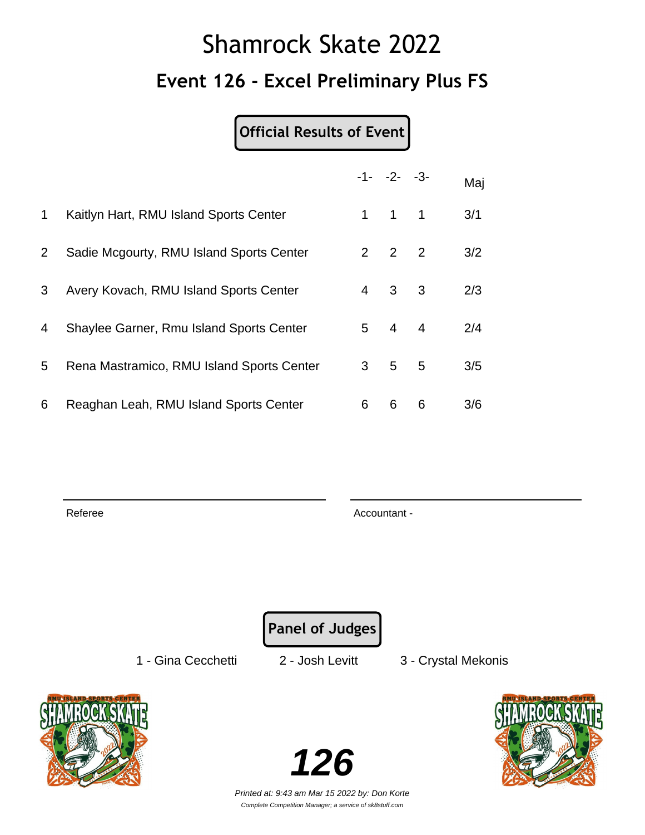## Shamrock Skate 2022 **Event 126 - Excel Preliminary Plus FS**

#### **Official Results of Event**

|             |                                           |                | $-1 - -2 - -3$      |   | Maj |
|-------------|-------------------------------------------|----------------|---------------------|---|-----|
| $\mathbf 1$ | Kaitlyn Hart, RMU Island Sports Center    |                | $1 \quad 1 \quad 1$ |   | 3/1 |
| 2           | Sadie Mcgourty, RMU Island Sports Center  |                | $2 \quad 2 \quad 2$ |   | 3/2 |
| 3           | Avery Kovach, RMU Island Sports Center    | $\overline{4}$ | $\mathbf{3}$        | 3 | 2/3 |
| 4           | Shaylee Garner, Rmu Island Sports Center  |                | $5\quad 4\quad 4$   |   | 2/4 |
| 5           | Rena Mastramico, RMU Island Sports Center | $3^{\circ}$    | $5^{\circ}$         | 5 | 3/5 |
| 6           | Reaghan Leah, RMU Island Sports Center    | 6              | 6                   | 6 | 3/6 |

Referee Accountant - Accountant - Accountant - Accountant -

**Panel of Judges**

1 - Gina Cecchetti 2 - Josh Levitt 3 - Crystal Mekonis



**126**

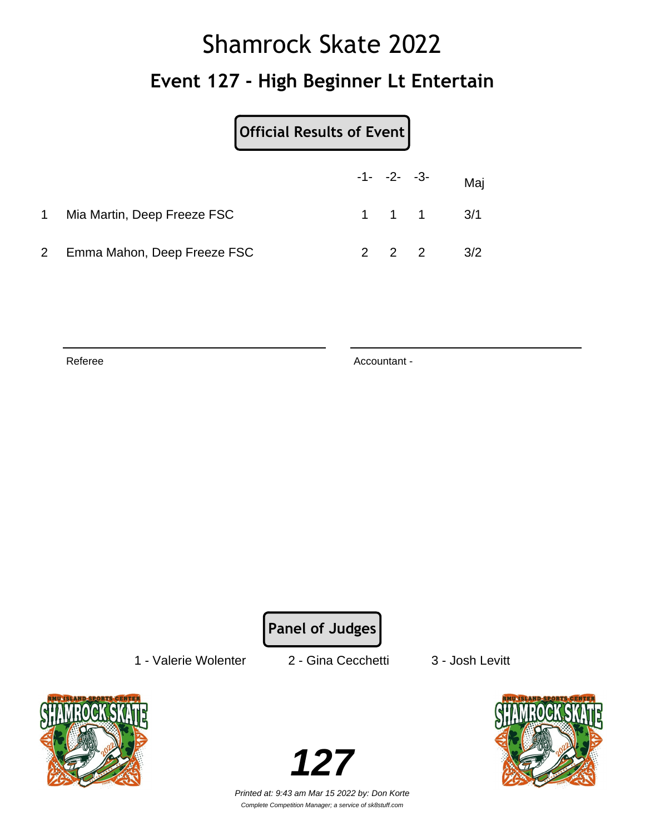# Shamrock Skate 2022 **Event 127 - High Beginner Lt Entertain**

|    |                             | Official Results of Event |                               |     |
|----|-----------------------------|---------------------------|-------------------------------|-----|
|    |                             |                           | $-1 - -2 - -3 -$ Maj          |     |
| 1. | Mia Martin, Deep Freeze FSC |                           | $1 \quad 1 \quad 1 \quad 3/1$ |     |
|    | Emma Mahon, Deep Freeze FSC |                           | $2 \quad 2 \quad 2$           | 3/2 |

Referee Accountant -

**Panel of Judges**

1 - Valerie Wolenter 2 - Gina Cecchetti 3 - Josh Levitt



**127**

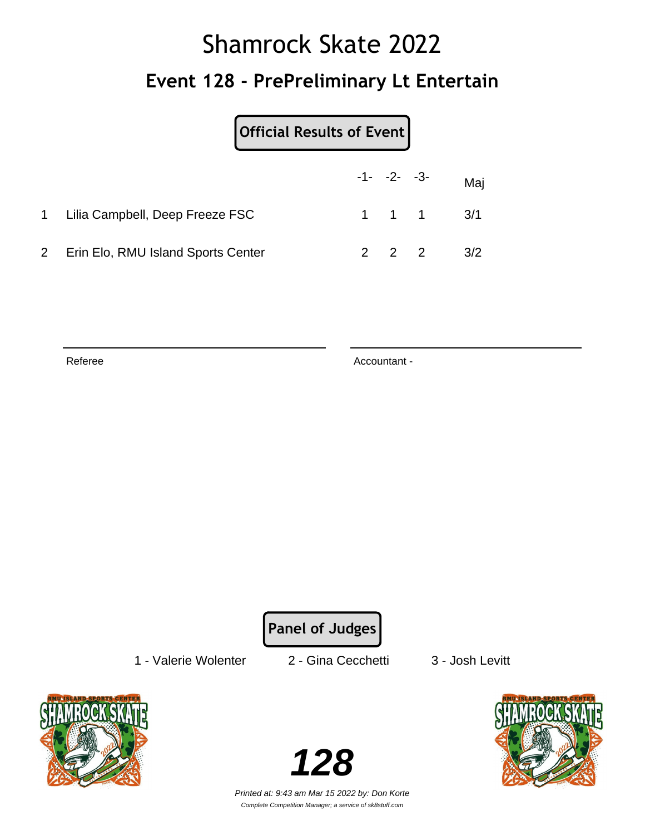# Shamrock Skate 2022 **Event 128 - PrePreliminary Lt Entertain**

|                                    | Official Results of Event |                     |                               |
|------------------------------------|---------------------------|---------------------|-------------------------------|
|                                    |                           |                     | $-1 - -2 - -3 -$ Maj          |
| 1 Lilia Campbell, Deep Freeze FSC  |                           |                     | $1 \quad 1 \quad 1 \quad 3/1$ |
| Erin Elo, RMU Island Sports Center |                           | $2 \quad 2 \quad 2$ | 3/2                           |

Referee Accountant -

**Panel of Judges**

1 - Valerie Wolenter 2 - Gina Cecchetti 3 - Josh Levitt



**128**

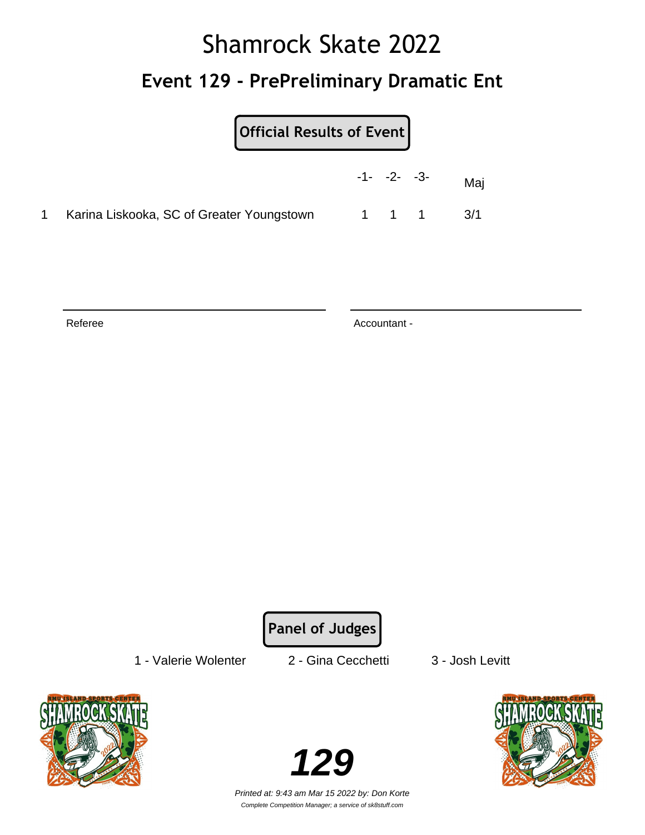## Shamrock Skate 2022 **Event 129 - PrePreliminary Dramatic Ent**

| Official Results of Event |  |
|---------------------------|--|
|                           |  |

|                                             | $-1 - -2 - -3$ |       | Maj |
|---------------------------------------------|----------------|-------|-----|
| 1 Karina Liskooka, SC of Greater Youngstown |                | 1 1 1 | 3/1 |

Referee Accountant -

**Panel of Judges**

1 - Valerie Wolenter 2 - Gina Cecchetti 3 - Josh Levitt



**129**